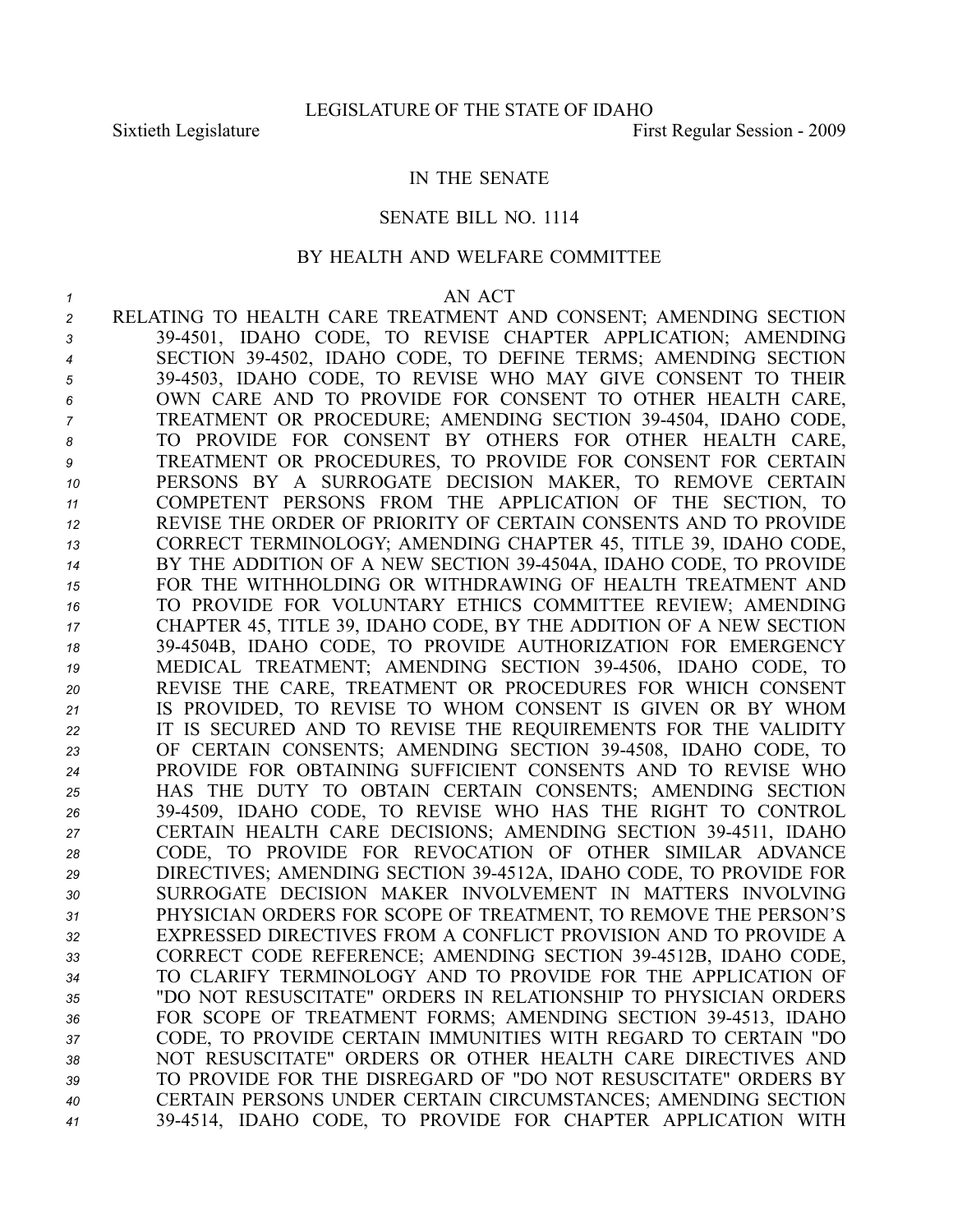## IN THE SENATE

## SENATE BILL NO. 1114

## BY HEALTH AND WELFARE COMMITTEE

## *1* AN ACT

 RELATING TO HEALTH CARE TREATMENT AND CONSENT; AMENDING SECTION 394501, IDAHO CODE, TO REVISE CHAPTER APPLICATION; AMENDING SECTION 394502, IDAHO CODE, TO DEFINE TERMS; AMENDING SECTION 394503, IDAHO CODE, TO REVISE WHO MAY GIVE CONSENT TO THEIR OWN CARE AND TO PROVIDE FOR CONSENT TO OTHER HEALTH CARE, TREATMENT OR PROCEDURE; AMENDING SECTION 394504, IDAHO CODE, TO PROVIDE FOR CONSENT BY OTHERS FOR OTHER HEALTH CARE, TREATMENT OR PROCEDURES, TO PROVIDE FOR CONSENT FOR CERTAIN PERSONS BY A SURROGATE DECISION MAKER, TO REMOVE CERTAIN COMPETENT PERSONS FROM THE APPLICATION OF THE SECTION, TO REVISE THE ORDER OF PRIORITY OF CERTAIN CONSENTS AND TO PROVIDE CORRECT TERMINOLOGY; AMENDING CHAPTER 45, TITLE 39, IDAHO CODE, BY THE ADDITION OF A NEW SECTION 394504A, IDAHO CODE, TO PROVIDE FOR THE WITHHOLDING OR WITHDRAWING OF HEALTH TREATMENT AND TO PROVIDE FOR VOLUNTARY ETHICS COMMITTEE REVIEW; AMENDING CHAPTER 45, TITLE 39, IDAHO CODE, BY THE ADDITION OF A NEW SECTION 394504B, IDAHO CODE, TO PROVIDE AUTHORIZATION FOR EMERGENCY MEDICAL TREATMENT; AMENDING SECTION 394506, IDAHO CODE, TO REVISE THE CARE, TREATMENT OR PROCEDURES FOR WHICH CONSENT IS PROVIDED, TO REVISE TO WHOM CONSENT IS GIVEN OR BY WHOM IT IS SECURED AND TO REVISE THE REQUIREMENTS FOR THE VALIDITY OF CERTAIN CONSENTS; AMENDING SECTION 394508, IDAHO CODE, TO PROVIDE FOR OBTAINING SUFFICIENT CONSENTS AND TO REVISE WHO HAS THE DUTY TO OBTAIN CERTAIN CONSENTS; AMENDING SECTION 394509, IDAHO CODE, TO REVISE WHO HAS THE RIGHT TO CONTROL CERTAIN HEALTH CARE DECISIONS; AMENDING SECTION 394511, IDAHO CODE, TO PROVIDE FOR REVOCATION OF OTHER SIMILAR ADVANCE DIRECTIVES; AMENDING SECTION 394512A, IDAHO CODE, TO PROVIDE FOR SURROGATE DECISION MAKER INVOLVEMENT IN MATTERS INVOLVING PHYSICIAN ORDERS FOR SCOPE OF TREATMENT, TO REMOVE THE PERSON'S EXPRESSED DIRECTIVES FROM A CONFLICT PROVISION AND TO PROVIDE A CORRECT CODE REFERENCE; AMENDING SECTION 394512B, IDAHO CODE, TO CLARIFY TERMINOLOGY AND TO PROVIDE FOR THE APPLICATION OF "DO NOT RESUSCITATE" ORDERS IN RELATIONSHIP TO PHYSICIAN ORDERS 36 FOR SCOPE OF TREATMENT FORMS; AMENDING SECTION 39-4513, IDAHO CODE, TO PROVIDE CERTAIN IMMUNITIES WITH REGARD TO CERTAIN "DO NOT RESUSCITATE" ORDERS OR OTHER HEALTH CARE DIRECTIVES AND TO PROVIDE FOR THE DISREGARD OF "DO NOT RESUSCITATE" ORDERS BY CERTAIN PERSONS UNDER CERTAIN CIRCUMSTANCES; AMENDING SECTION 394514, IDAHO CODE, TO PROVIDE FOR CHAPTER APPLICATION WITH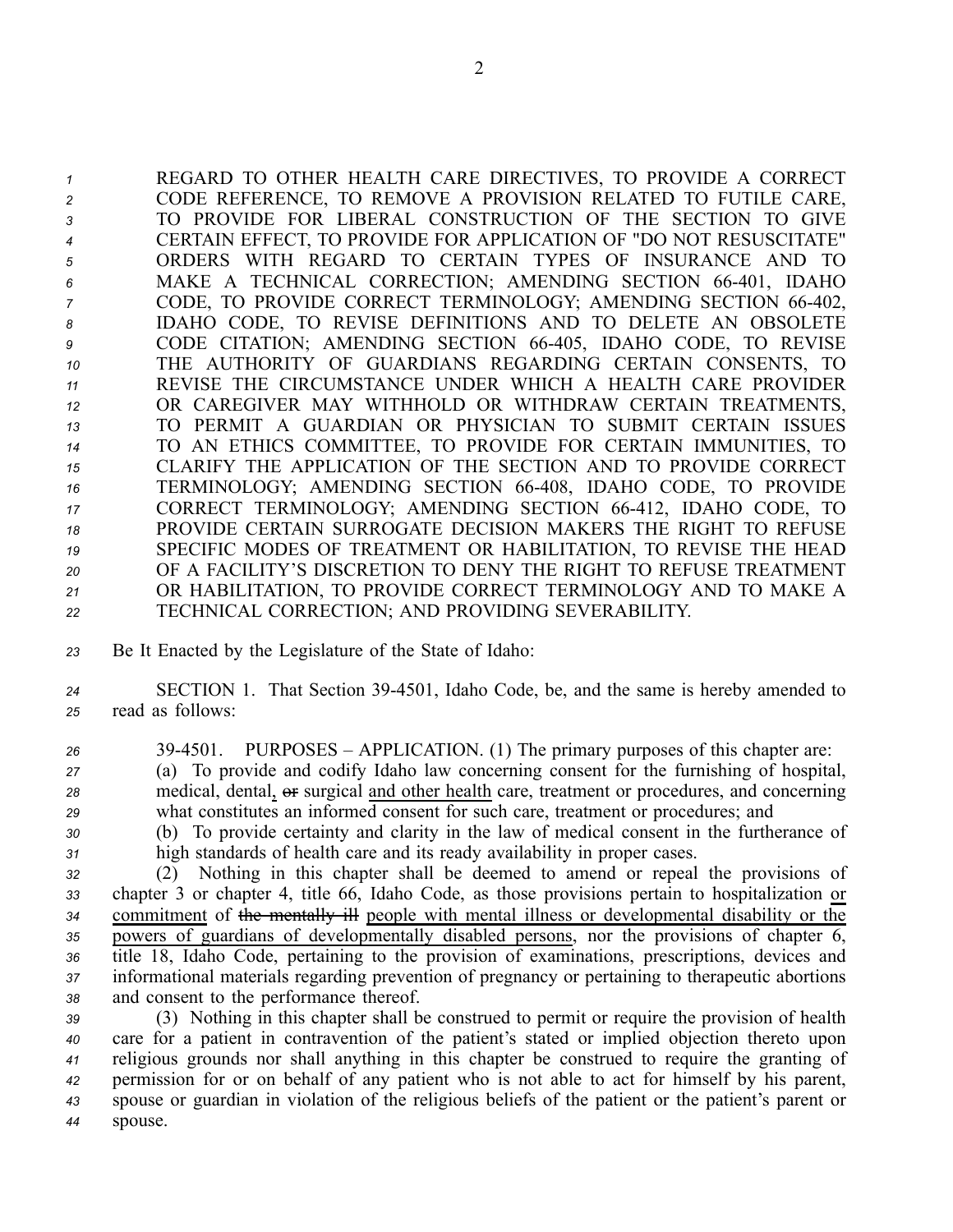REGARD TO OTHER HEALTH CARE DIRECTIVES, TO PROVIDE A CORRECT CODE REFERENCE, TO REMOVE A PROVISION RELATED TO FUTILE CARE, TO PROVIDE FOR LIBERAL CONSTRUCTION OF THE SECTION TO GIVE CERTAIN EFFECT, TO PROVIDE FOR APPLICATION OF "DO NOT RESUSCITATE" ORDERS WITH REGARD TO CERTAIN TYPES OF INSURANCE AND TO MAKE A TECHNICAL CORRECTION; AMENDING SECTION 66401, IDAHO <sup>7</sup> CODE, TO PROVIDE CORRECT TERMINOLOGY; AMENDING SECTION 66-402, IDAHO CODE, TO REVISE DEFINITIONS AND TO DELETE AN OBSOLETE CODE CITATION; AMENDING SECTION 66405, IDAHO CODE, TO REVISE THE AUTHORITY OF GUARDIANS REGARDING CERTAIN CONSENTS, TO REVISE THE CIRCUMSTANCE UNDER WHICH A HEALTH CARE PROVIDER OR CAREGIVER MAY WITHHOLD OR WITHDRAW CERTAIN TREATMENTS, TO PERMIT A GUARDIAN OR PHYSICIAN TO SUBMIT CERTAIN ISSUES TO AN ETHICS COMMITTEE, TO PROVIDE FOR CERTAIN IMMUNITIES, TO CLARIFY THE APPLICATION OF THE SECTION AND TO PROVIDE CORRECT 16 TERMINOLOGY; AMENDING SECTION 66-408, IDAHO CODE, TO PROVIDE CORRECT TERMINOLOGY; AMENDING SECTION 66412, IDAHO CODE, TO PROVIDE CERTAIN SURROGATE DECISION MAKERS THE RIGHT TO REFUSE SPECIFIC MODES OF TREATMENT OR HABILITATION, TO REVISE THE HEAD OF A FACILITY'S DISCRETION TO DENY THE RIGHT TO REFUSE TREATMENT OR HABILITATION, TO PROVIDE CORRECT TERMINOLOGY AND TO MAKE A TECHNICAL CORRECTION; AND PROVIDING SEVERABILITY.

*<sup>23</sup>* Be It Enacted by the Legislature of the State of Idaho:

*<sup>24</sup>* SECTION 1. That Section 394501, Idaho Code, be, and the same is hereby amended to *<sup>25</sup>* read as follows:

- *<sup>26</sup>* 394501. PURPOSES APPLICATION. (1) The primary purposes of this chapter are: *<sup>27</sup>* (a) To provide and codify Idaho law concerning consent for the furnishing of hospital, 28 medical, dental,  $\Theta$ **F** surgical and other health care, treatment or procedures, and concerning *<sup>29</sup>* what constitutes an informed consent for such care, treatment or procedures; and
- *<sup>30</sup>* (b) To provide certainty and clarity in the law of medical consent in the furtherance of *<sup>31</sup>* high standards of health care and its ready availability in proper cases.
- *<sup>32</sup>* (2) Nothing in this chapter shall be deemed to amend or repeal the provisions of *<sup>33</sup>* chapter 3 or chapter 4, title 66, Idaho Code, as those provisions pertain to hospitalization or *<sup>34</sup>* commitment of the mentally ill people with mental illness or developmental disability or the *<sup>35</sup>* powers of guardians of developmentally disabled persons, nor the provisions of chapter 6, *<sup>36</sup>* title 18, Idaho Code, pertaining to the provision of examinations, prescriptions, devices and *<sup>37</sup>* informational materials regarding prevention of pregnancy or pertaining to therapeutic abortions *<sup>38</sup>* and consent to the performance thereof.

 (3) Nothing in this chapter shall be construed to permit or require the provision of health care for <sup>a</sup> patient in contravention of the patient's stated or implied objection thereto upon religious grounds nor shall anything in this chapter be construed to require the granting of permission for or on behalf of any patient who is not able to act for himself by his parent, spouse or guardian in violation of the religious beliefs of the patient or the patient's paren<sup>t</sup> or *<sup>44</sup>* spouse.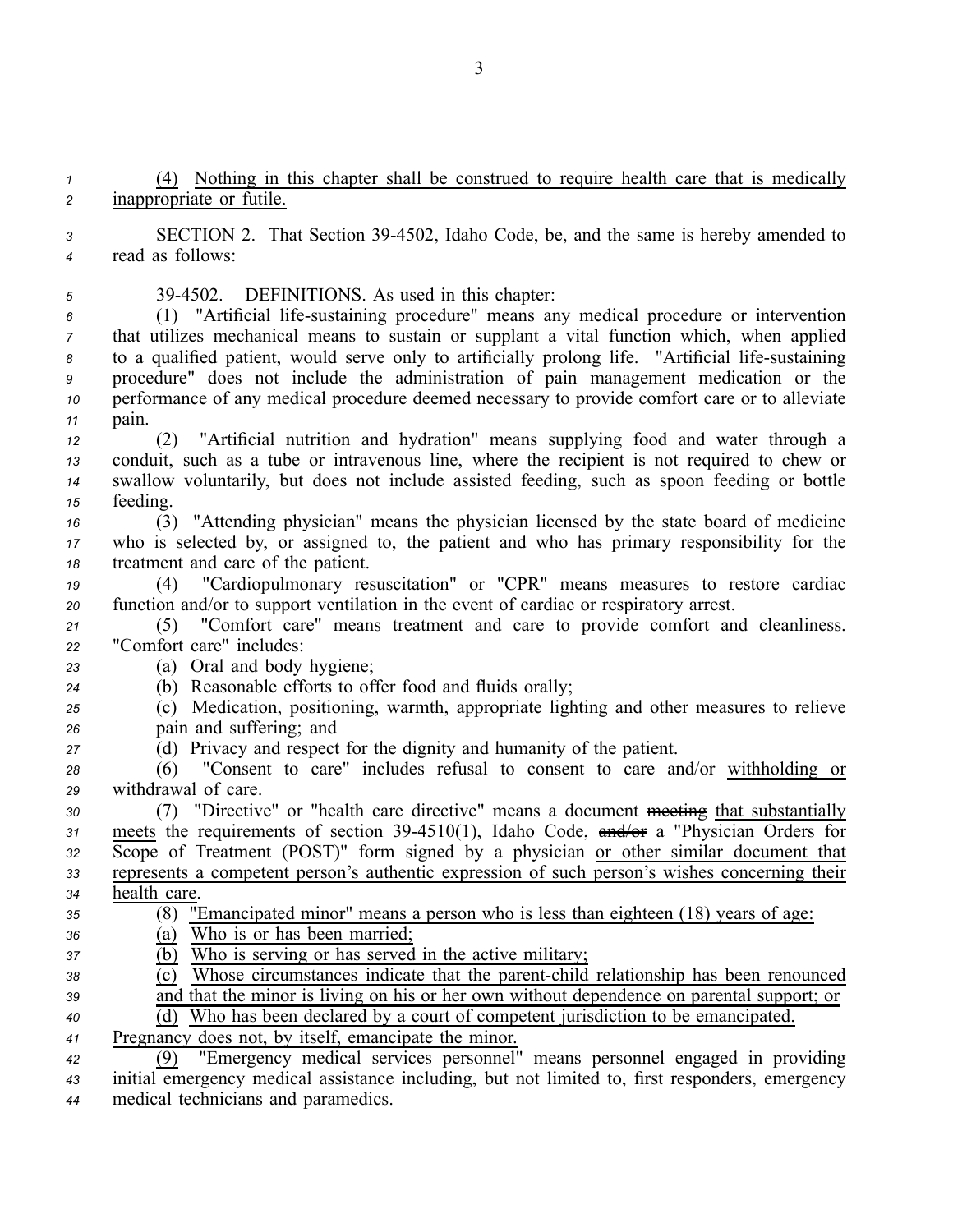*<sup>1</sup>* (4) Nothing in this chapter shall be construed to require health care that is medically *<sup>2</sup>* inappropriate or futile.

*<sup>3</sup>* SECTION 2. That Section 394502, Idaho Code, be, and the same is hereby amended to *<sup>4</sup>* read as follows:

*<sup>5</sup>* 394502. DEFINITIONS. As used in this chapter:

 (1) "Artificial lifesustaining procedure" means any medical procedure or intervention that utilizes mechanical means to sustain or supplant <sup>a</sup> vital function which, when applied 8 to a qualified patient, would serve only to artificially prolong life. "Artificial life-sustaining procedure" does not include the administration of pain managemen<sup>t</sup> medication or the performance of any medical procedure deemed necessary to provide comfort care or to alleviate *<sup>11</sup>* pain.

- *<sup>12</sup>* (2) "Artificial nutrition and hydration" means supplying food and water through <sup>a</sup> *<sup>13</sup>* conduit, such as <sup>a</sup> tube or intravenous line, where the recipient is not required to chew or *<sup>14</sup>* swallow voluntarily, but does not include assisted feeding, such as spoon feeding or bottle *<sup>15</sup>* feeding.
- *<sup>16</sup>* (3) "Attending physician" means the physician licensed by the state board of medicine *<sup>17</sup>* who is selected by, or assigned to, the patient and who has primary responsibility for the *<sup>18</sup>* treatment and care of the patient.

*<sup>19</sup>* (4) "Cardiopulmonary resuscitation" or "CPR" means measures to restore cardiac *<sup>20</sup>* function and/or to suppor<sup>t</sup> ventilation in the event of cardiac or respiratory arrest.

*<sup>21</sup>* (5) "Comfort care" means treatment and care to provide comfort and cleanliness. *<sup>22</sup>* "Comfort care" includes:

*<sup>23</sup>* (a) Oral and body hygiene;

*<sup>24</sup>* (b) Reasonable efforts to offer food and fluids orally;

- *<sup>25</sup>* (c) Medication, positioning, warmth, appropriate lighting and other measures to relieve *<sup>26</sup>* pain and suffering; and
- *<sup>27</sup>* (d) Privacy and respec<sup>t</sup> for the dignity and humanity of the patient.

*<sup>28</sup>* (6) "Consent to care" includes refusal to consent to care and/or withholding or *<sup>29</sup>* withdrawal of care.

 (7) "Directive" or "health care directive" means <sup>a</sup> document meeting that substantially meets the requirements of section 394510(1), Idaho Code, and/or <sup>a</sup> "Physician Orders for Scope of Treatment (POST)" form signed by <sup>a</sup> physician or other similar document that represents <sup>a</sup> competent person's authentic expression of such person's wishes concerning their health care.

- *<sup>35</sup>* (8) "Emancipated minor" means <sup>a</sup> person who is less than eighteen (18) years of age: *<sup>36</sup>* (a) Who is or has been married; *<sup>37</sup>* (b) Who is serving or has served in the active military;
- $\overline{(c)}$  Whose circumstances indicate that the parent-child relationship has been renounced
- *<sup>39</sup>* and that the minor is living on his or her own without dependence on parental support; or
- *<sup>40</sup>* (d) Who has been declared by <sup>a</sup> court of competent jurisdiction to be emancipated.
- *<sup>41</sup>* Pregnancy does not, by itself, emancipate the minor.

*<sup>42</sup>* (9) "Emergency medical services personnel" means personnel engaged in providing *<sup>43</sup>* initial emergency medical assistance including, but not limited to, first responders, emergency *<sup>44</sup>* medical technicians and paramedics.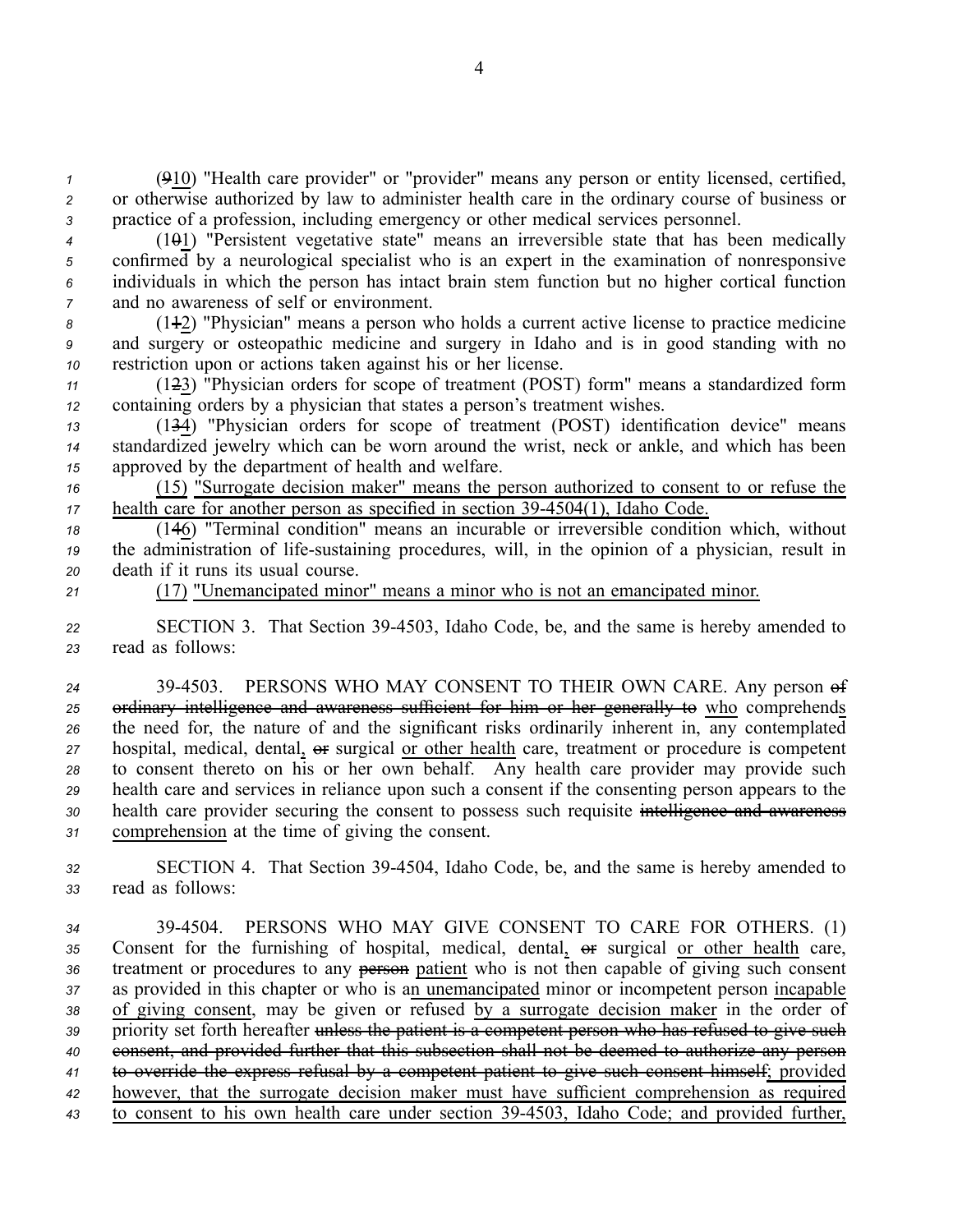*<sup>1</sup>* (910) "Health care provider" or "provider" means any person or entity licensed, certified, *<sup>2</sup>* or otherwise authorized by law to administer health care in the ordinary course of business or *<sup>3</sup>* practice of <sup>a</sup> profession, including emergency or other medical services personnel.

 (101) "Persistent vegetative state" means an irreversible state that has been medically confirmed by <sup>a</sup> neurological specialist who is an exper<sup>t</sup> in the examination of nonresponsive individuals in which the person has intact brain stem function but no higher cortical function and no awareness of self or environment.

*<sup>8</sup>* (112) "Physician" means <sup>a</sup> person who holds <sup>a</sup> current active license to practice medicine *<sup>9</sup>* and surgery or osteopathic medicine and surgery in Idaho and is in good standing with no *<sup>10</sup>* restriction upon or actions taken against his or her license.

*<sup>11</sup>* (123) "Physician orders for scope of treatment (POST) form" means <sup>a</sup> standardized form *<sup>12</sup>* containing orders by <sup>a</sup> physician that states <sup>a</sup> person's treatment wishes.

*<sup>13</sup>* (134) "Physician orders for scope of treatment (POST) identification device" means *<sup>14</sup>* standardized jewelry which can be worn around the wrist, neck or ankle, and which has been *<sup>15</sup>* approved by the department of health and welfare.

*<sup>16</sup>* (15) "Surrogate decision maker" means the person authorized to consent to or refuse the *17* health care for another person as specified in section 39-4504(1), Idaho Code.

*<sup>18</sup>* (146) "Terminal condition" means an incurable or irreversible condition which, without *19* the administration of life-sustaining procedures, will, in the opinion of a physician, result in *<sup>20</sup>* death if it runs its usual course.

*<sup>21</sup>* (17) "Unemancipated minor" means <sup>a</sup> minor who is not an emancipated minor.

*<sup>22</sup>* SECTION 3. That Section 394503, Idaho Code, be, and the same is hereby amended to *<sup>23</sup>* read as follows:

24 39-4503. PERSONS WHO MAY CONSENT TO THEIR OWN CARE. Any person of 25 ordinary intelligence and awareness sufficient for him or her generally to who comprehends the need for, the nature of and the significant risks ordinarily inherent in, any contemplated hospital, medical, dental,  $\Theta$ **F** surgical or other health care, treatment or procedure is competent to consent thereto on his or her own behalf. Any health care provider may provide such health care and services in reliance upon such <sup>a</sup> consent if the consenting person appears to the health care provider securing the consent to possess such requisite intelligence and awareness comprehension at the time of giving the consent.

*<sup>32</sup>* SECTION 4. That Section 394504, Idaho Code, be, and the same is hereby amended to *<sup>33</sup>* read as follows:

 394504. PERSONS WHO MAY GIVE CONSENT TO CARE FOR OTHERS. (1) 35 Consent for the furnishing of hospital, medical, dental,  $\theta$ **F** surgical or other health care, 36 treatment or procedures to any person patient who is not then capable of giving such consent as provided in this chapter or who is an unemancipated minor or incompetent person incapable of giving consent, may be given or refused by <sup>a</sup> surrogate decision maker in the order of 39 priority set forth hereafter unless the patient is a competent person who has refused to give such consent, and provided further that this subsection shall not be deemed to authorize any person to override the express refusal by <sup>a</sup> competent patient to give such consent himself; provided however, that the surrogate decision maker must have sufficient comprehension as required to consent to his own health care under section 394503, Idaho Code; and provided further,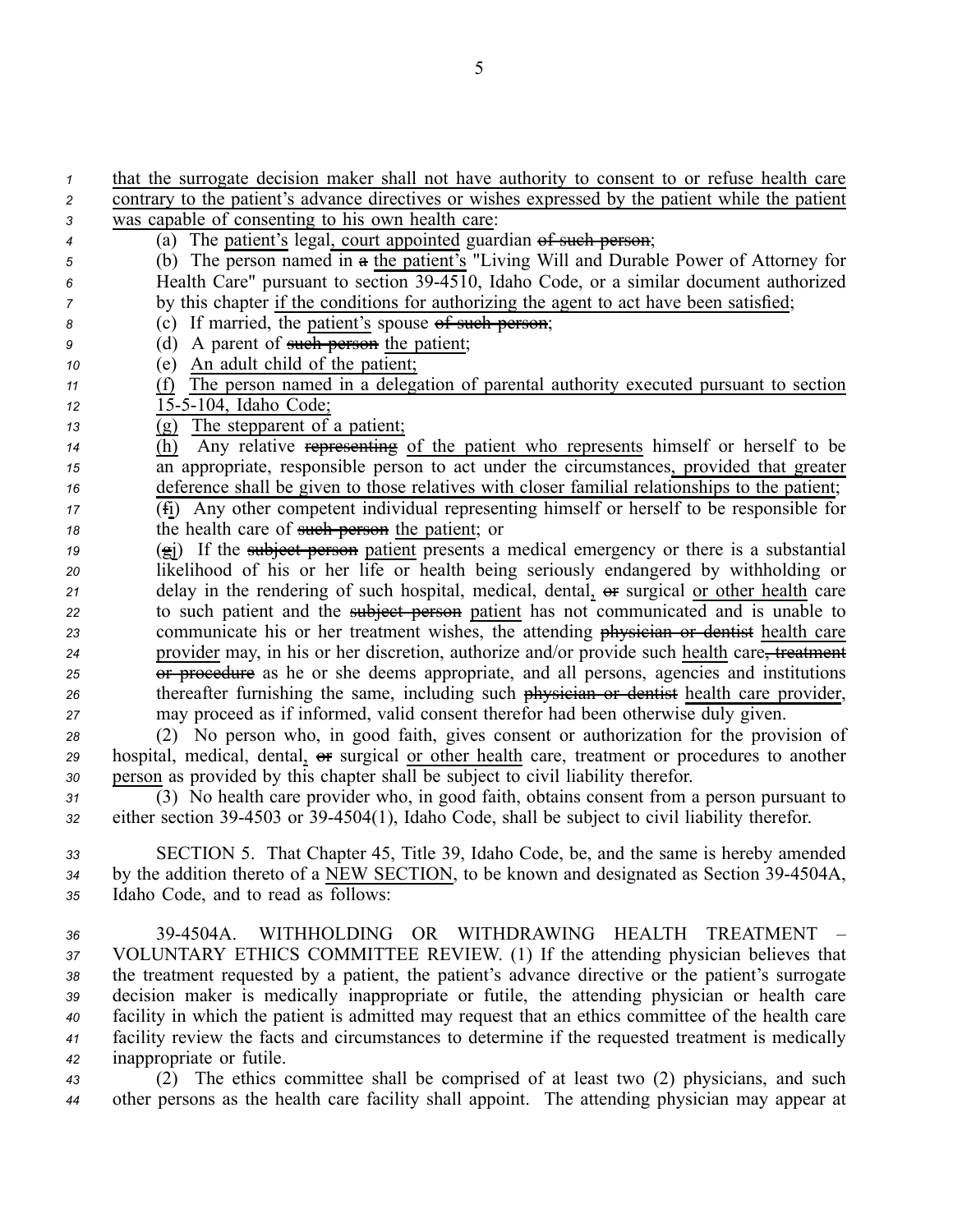| $\mathbf{1}$   | that the surrogate decision maker shall not have authority to consent to or refuse health care            |
|----------------|-----------------------------------------------------------------------------------------------------------|
| 2              | contrary to the patient's advance directives or wishes expressed by the patient while the patient         |
| 3              | was capable of consenting to his own health care:                                                         |
| 4              | (a) The patient's legal, court appointed guardian of such person;                                         |
| 5              | (b) The person named in a the patient's "Living Will and Durable Power of Attorney for                    |
| 6              | Health Care" pursuant to section 39-4510, Idaho Code, or a similar document authorized                    |
| 7              | by this chapter if the conditions for authorizing the agent to act have been satisfied;                   |
| 8              | (c) If married, the patient's spouse of such person;                                                      |
| 9              | A parent of such person the patient;<br>(d)                                                               |
| 10             | An adult child of the patient;<br>(e)                                                                     |
| 11             | The person named in a delegation of parental authority executed pursuant to section<br>(f)                |
| 12             | 15-5-104, Idaho Code;                                                                                     |
| 13             | (g) The stepparent of a patient;                                                                          |
| 14             | Any relative representing of the patient who represents himself or herself to be<br>(h)                   |
| 15             | an appropriate, responsible person to act under the circumstances, provided that greater                  |
| 16             | deference shall be given to those relatives with closer familial relationships to the patient;            |
| 17             | (fi) Any other competent individual representing himself or herself to be responsible for                 |
| 18             | the health care of such person the patient; or                                                            |
| 19             | $(\hat{\mathbf{g}})$ If the subject person patient presents a medical emergency or there is a substantial |
| 20             | likelihood of his or her life or health being seriously endangered by withholding or                      |
| 21             | delay in the rendering of such hospital, medical, dental, or surgical or other health care                |
| 22             | to such patient and the subject person patient has not communicated and is unable to                      |
| 23             | communicate his or her treatment wishes, the attending physician or dentist health care                   |
| 24             | provider may, in his or her discretion, authorize and/or provide such health care, treatment              |
| 25             | or procedure as he or she deems appropriate, and all persons, agencies and institutions                   |
| 26             | thereafter furnishing the same, including such physician or dentist health care provider,                 |
| 27             | may proceed as if informed, valid consent therefor had been otherwise duly given.                         |
| 28             | (2) No person who, in good faith, gives consent or authorization for the provision of                     |
| 29             | hospital, medical, dental, or surgical or other health care, treatment or procedures to another           |
| 30             | person as provided by this chapter shall be subject to civil liability therefor.                          |
| 31             | (3) No health care provider who, in good faith, obtains consent from a person pursuant to                 |
| 32             | either section 39-4503 or 39-4504(1), Idaho Code, shall be subject to civil liability therefor.           |
|                |                                                                                                           |
| 33             | SECTION 5. That Chapter 45, Title 39, Idaho Code, be, and the same is hereby amended                      |
| 34             | by the addition thereto of a NEW SECTION, to be known and designated as Section 39-4504A,                 |
| 35             | Idaho Code, and to read as follows:                                                                       |
|                |                                                                                                           |
| 36             | 39-4504A.<br>WITHHOLDING OR WITHDRAWING HEALTH<br>TREATMENT -                                             |
| 37             | VOLUNTARY ETHICS COMMITTEE REVIEW. (1) If the attending physician believes that                           |
| 38             | the treatment requested by a patient, the patient's advance directive or the patient's surrogate          |
| 39             | decision maker is medically inappropriate or futile, the attending physician or health care               |
| 40             | facility in which the patient is admitted may request that an ethics committee of the health care         |
| 41             | facility review the facts and circumstances to determine if the requested treatment is medically          |
| 42             | inappropriate or futile.                                                                                  |
| $\overline{ }$ | (2) The ethics committee shall be comprised of at least two $(2)$ physicians and such                     |

*<sup>43</sup>* (2) The ethics committee shall be comprised of at least two (2) physicians, and such *<sup>44</sup>* other persons as the health care facility shall appoint. The attending physician may appear at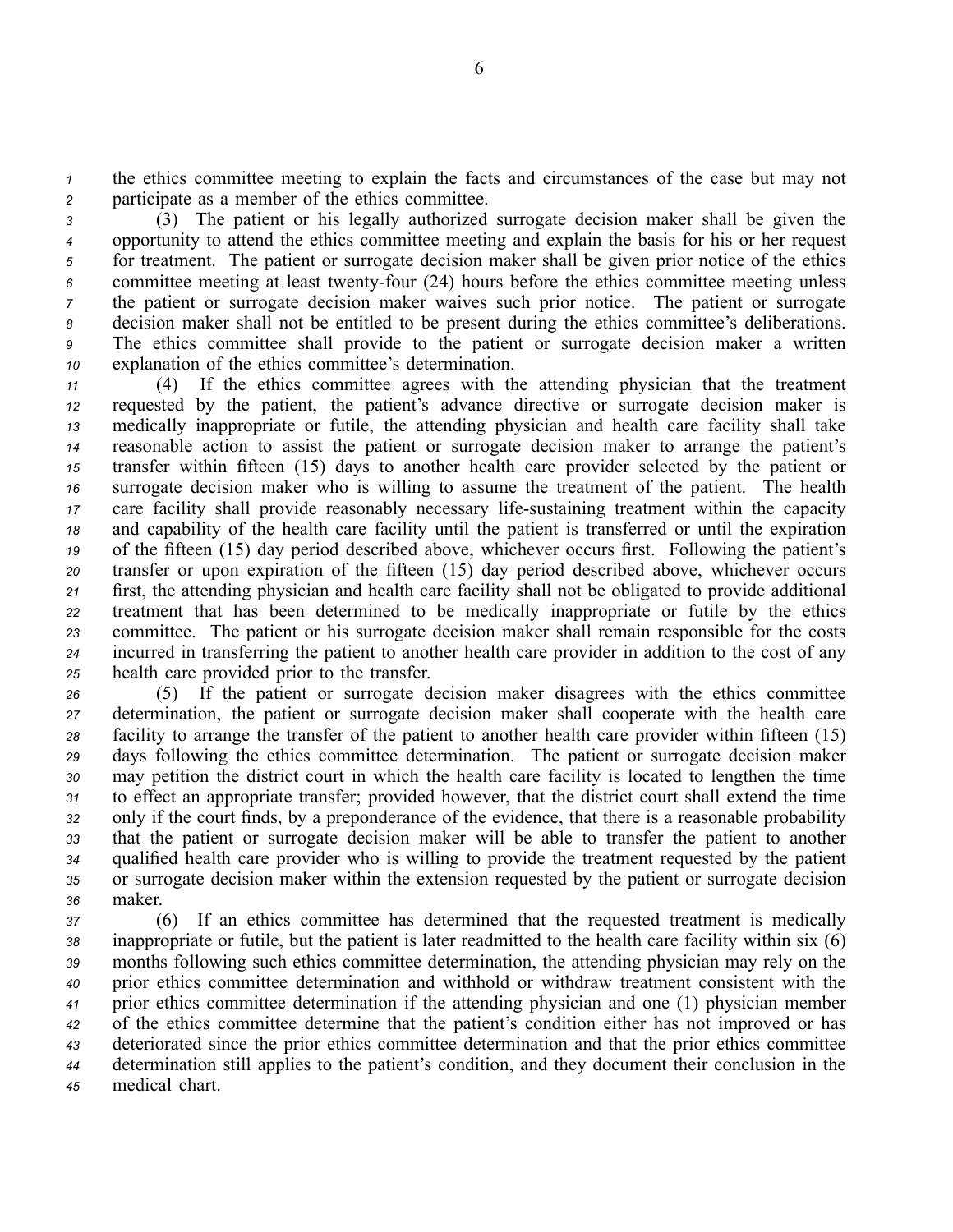*<sup>1</sup>* the ethics committee meeting to explain the facts and circumstances of the case but may not *<sup>2</sup>* participate as <sup>a</sup> member of the ethics committee.

 (3) The patient or his legally authorized surrogate decision maker shall be given the opportunity to attend the ethics committee meeting and explain the basis for his or her reques<sup>t</sup> for treatment. The patient or surrogate decision maker shall be given prior notice of the ethics 6 committee meeting at least twenty-four (24) hours before the ethics committee meeting unless the patient or surrogate decision maker waives such prior notice. The patient or surrogate decision maker shall not be entitled to be presen<sup>t</sup> during the ethics committee's deliberations. The ethics committee shall provide to the patient or surrogate decision maker <sup>a</sup> written explanation of the ethics committee's determination.

 (4) If the ethics committee agrees with the attending physician that the treatment requested by the patient, the patient's advance directive or surrogate decision maker is medically inappropriate or futile, the attending physician and health care facility shall take reasonable action to assist the patient or surrogate decision maker to arrange the patient's transfer within fifteen (15) days to another health care provider selected by the patient or surrogate decision maker who is willing to assume the treatment of the patient. The health care facility shall provide reasonably necessary life-sustaining treatment within the capacity and capability of the health care facility until the patient is transferred or until the expiration of the fifteen (15) day period described above, whichever occurs first. Following the patient's transfer or upon expiration of the fifteen (15) day period described above, whichever occurs first, the attending physician and health care facility shall not be obligated to provide additional treatment that has been determined to be medically inappropriate or futile by the ethics committee. The patient or his surrogate decision maker shall remain responsible for the costs incurred in transferring the patient to another health care provider in addition to the cost of any health care provided prior to the transfer.

 (5) If the patient or surrogate decision maker disagrees with the ethics committee determination, the patient or surrogate decision maker shall cooperate with the health care facility to arrange the transfer of the patient to another health care provider within fifteen (15) days following the ethics committee determination. The patient or surrogate decision maker may petition the district court in which the health care facility is located to lengthen the time to effect an appropriate transfer; provided however, that the district court shall extend the time only if the court finds, by <sup>a</sup> preponderance of the evidence, that there is <sup>a</sup> reasonable probability that the patient or surrogate decision maker will be able to transfer the patient to another qualified health care provider who is willing to provide the treatment requested by the patient or surrogate decision maker within the extension requested by the patient or surrogate decision *<sup>36</sup>* maker.

 (6) If an ethics committee has determined that the requested treatment is medically inappropriate or futile, but the patient is later readmitted to the health care facility within six (6) months following such ethics committee determination, the attending physician may rely on the prior ethics committee determination and withhold or withdraw treatment consistent with the prior ethics committee determination if the attending physician and one (1) physician member of the ethics committee determine that the patient's condition either has not improved or has deteriorated since the prior ethics committee determination and that the prior ethics committee determination still applies to the patient's condition, and they document their conclusion in the medical chart.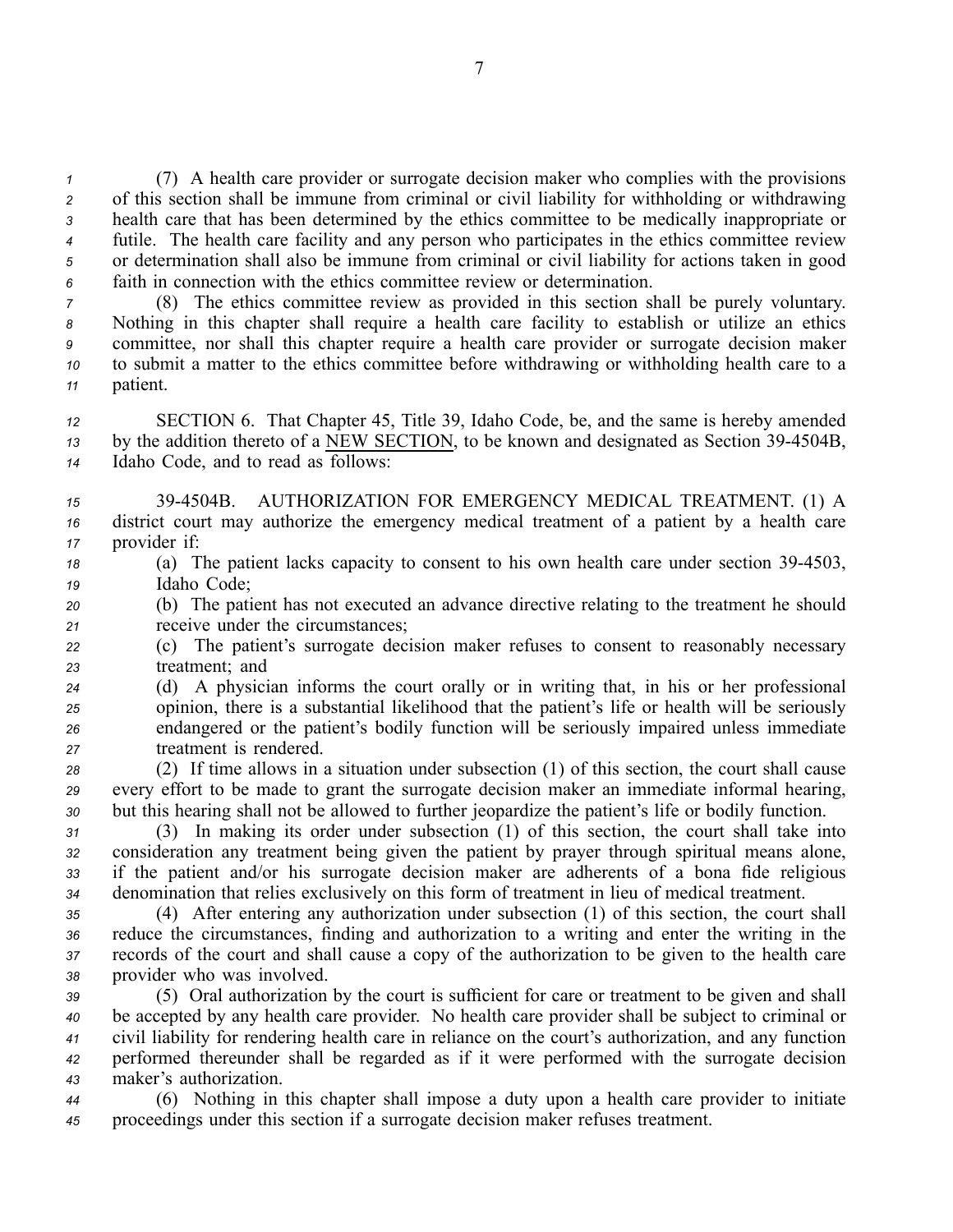(7) A health care provider or surrogate decision maker who complies with the provisions of this section shall be immune from criminal or civil liability for withholding or withdrawing health care that has been determined by the ethics committee to be medically inappropriate or futile. The health care facility and any person who participates in the ethics committee review or determination shall also be immune from criminal or civil liability for actions taken in good faith in connection with the ethics committee review or determination.

 (8) The ethics committee review as provided in this section shall be purely voluntary. Nothing in this chapter shall require <sup>a</sup> health care facility to establish or utilize an ethics committee, nor shall this chapter require <sup>a</sup> health care provider or surrogate decision maker to submit <sup>a</sup> matter to the ethics committee before withdrawing or withholding health care to <sup>a</sup> *<sup>11</sup>* patient.

*<sup>12</sup>* SECTION 6. That Chapter 45, Title 39, Idaho Code, be, and the same is hereby amended <sup>13</sup> by the addition thereto of a NEW SECTION, to be known and designated as Section 39-4504B, *<sup>14</sup>* Idaho Code, and to read as follows:

- *<sup>15</sup>* 394504B. AUTHORIZATION FOR EMERGENCY MEDICAL TREATMENT. (1) A *<sup>16</sup>* district court may authorize the emergency medical treatment of <sup>a</sup> patient by <sup>a</sup> health care *<sup>17</sup>* provider if:
- *<sup>18</sup>* (a) The patient lacks capacity to consent to his own health care under section 394503, *<sup>19</sup>* Idaho Code;

*<sup>20</sup>* (b) The patient has not executed an advance directive relating to the treatment he should *<sup>21</sup>* receive under the circumstances;

*<sup>22</sup>* (c) The patient's surrogate decision maker refuses to consent to reasonably necessary *<sup>23</sup>* treatment; and

 (d) A physician informs the court orally or in writing that, in his or her professional opinion, there is <sup>a</sup> substantial likelihood that the patient's life or health will be seriously endangered or the patient's bodily function will be seriously impaired unless immediate treatment is rendered.

*<sup>28</sup>* (2) If time allows in <sup>a</sup> situation under subsection (1) of this section, the court shall cause *<sup>29</sup>* every effort to be made to gran<sup>t</sup> the surrogate decision maker an immediate informal hearing, *<sup>30</sup>* but this hearing shall not be allowed to further jeopardize the patient's life or bodily function.

 (3) In making its order under subsection (1) of this section, the court shall take into consideration any treatment being given the patient by prayer through spiritual means alone, if the patient and/or his surrogate decision maker are adherents of <sup>a</sup> bona fide religious denomination that relies exclusively on this form of treatment in lieu of medical treatment.

 (4) After entering any authorization under subsection (1) of this section, the court shall reduce the circumstances, finding and authorization to <sup>a</sup> writing and enter the writing in the records of the court and shall cause <sup>a</sup> copy of the authorization to be given to the health care provider who was involved.

 (5) Oral authorization by the court is sufficient for care or treatment to be given and shall be accepted by any health care provider. No health care provider shall be subject to criminal or civil liability for rendering health care in reliance on the court's authorization, and any function performed thereunder shall be regarded as if it were performed with the surrogate decision maker's authorization.

*<sup>44</sup>* (6) Nothing in this chapter shall impose <sup>a</sup> duty upon <sup>a</sup> health care provider to initiate *<sup>45</sup>* proceedings under this section if <sup>a</sup> surrogate decision maker refuses treatment.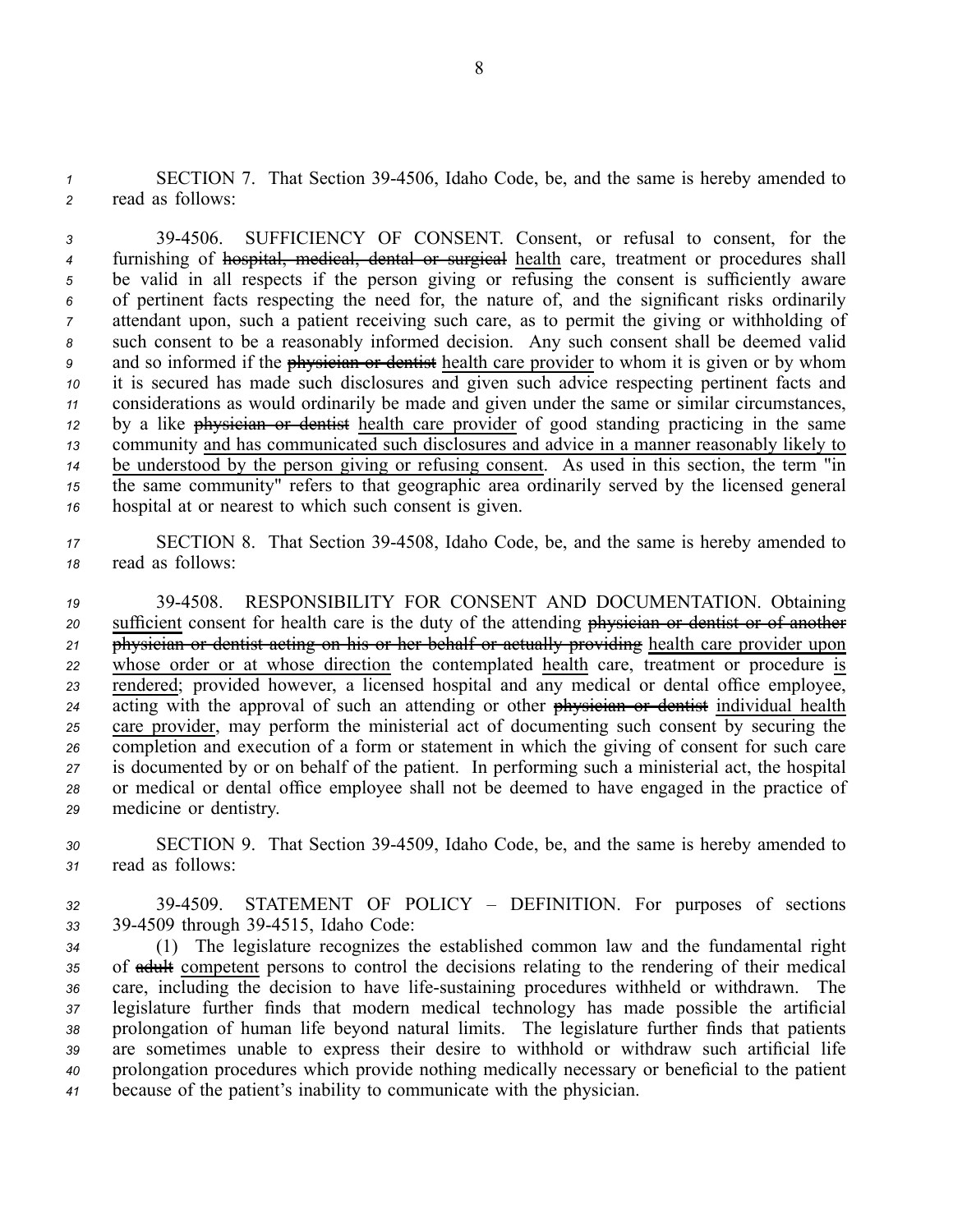*<sup>1</sup>* SECTION 7. That Section 394506, Idaho Code, be, and the same is hereby amended to *<sup>2</sup>* read as follows:

 394506. SUFFICIENCY OF CONSENT. Consent, or refusal to consent, for the furnishing of hospital, medical, dental or surgical health care, treatment or procedures shall be valid in all respects if the person giving or refusing the consent is sufficiently aware of pertinent facts respecting the need for, the nature of, and the significant risks ordinarily attendant upon, such <sup>a</sup> patient receiving such care, as to permit the giving or withholding of such consent to be <sup>a</sup> reasonably informed decision. Any such consent shall be deemed valid and so informed if the physician or dentist health care provider to whom it is given or by whom it is secured has made such disclosures and given such advice respecting pertinent facts and considerations as would ordinarily be made and given under the same or similar circumstances, by <sup>a</sup> like physician or dentist health care provider of good standing practicing in the same community and has communicated such disclosures and advice in <sup>a</sup> manner reasonably likely to be understood by the person giving or refusing consent. As used in this section, the term "in the same community" refers to that geographic area ordinarily served by the licensed general hospital at or nearest to which such consent is given.

*<sup>17</sup>* SECTION 8. That Section 394508, Idaho Code, be, and the same is hereby amended to *<sup>18</sup>* read as follows:

 394508. RESPONSIBILITY FOR CONSENT AND DOCUMENTATION. Obtaining sufficient consent for health care is the duty of the attending physician or dentist or of another physician or dentist acting on his or her behalf or actually providing health care provider upon whose order or at whose direction the contemplated health care, treatment or procedure is rendered; provided however, <sup>a</sup> licensed hospital and any medical or dental office employee, 24 acting with the approval of such an attending or other physician or dentist individual health care provider, may perform the ministerial act of documenting such consent by securing the completion and execution of <sup>a</sup> form or statement in which the giving of consent for such care is documented by or on behalf of the patient. In performing such <sup>a</sup> ministerial act, the hospital or medical or dental office employee shall not be deemed to have engaged in the practice of medicine or dentistry.

*<sup>30</sup>* SECTION 9. That Section 394509, Idaho Code, be, and the same is hereby amended to *<sup>31</sup>* read as follows:

*<sup>32</sup>* 394509. STATEMENT OF POLICY – DEFINITION. For purposes of sections *<sup>33</sup>* 394509 through 394515, Idaho Code:

 (1) The legislature recognizes the established common law and the fundamental right of adult competent persons to control the decisions relating to the rendering of their medical care, including the decision to have lifesustaining procedures withheld or withdrawn. The legislature further finds that modern medical technology has made possible the artificial prolongation of human life beyond natural limits. The legislature further finds that patients are sometimes unable to express their desire to withhold or withdraw such artificial life prolongation procedures which provide nothing medically necessary or beneficial to the patient because of the patient's inability to communicate with the physician.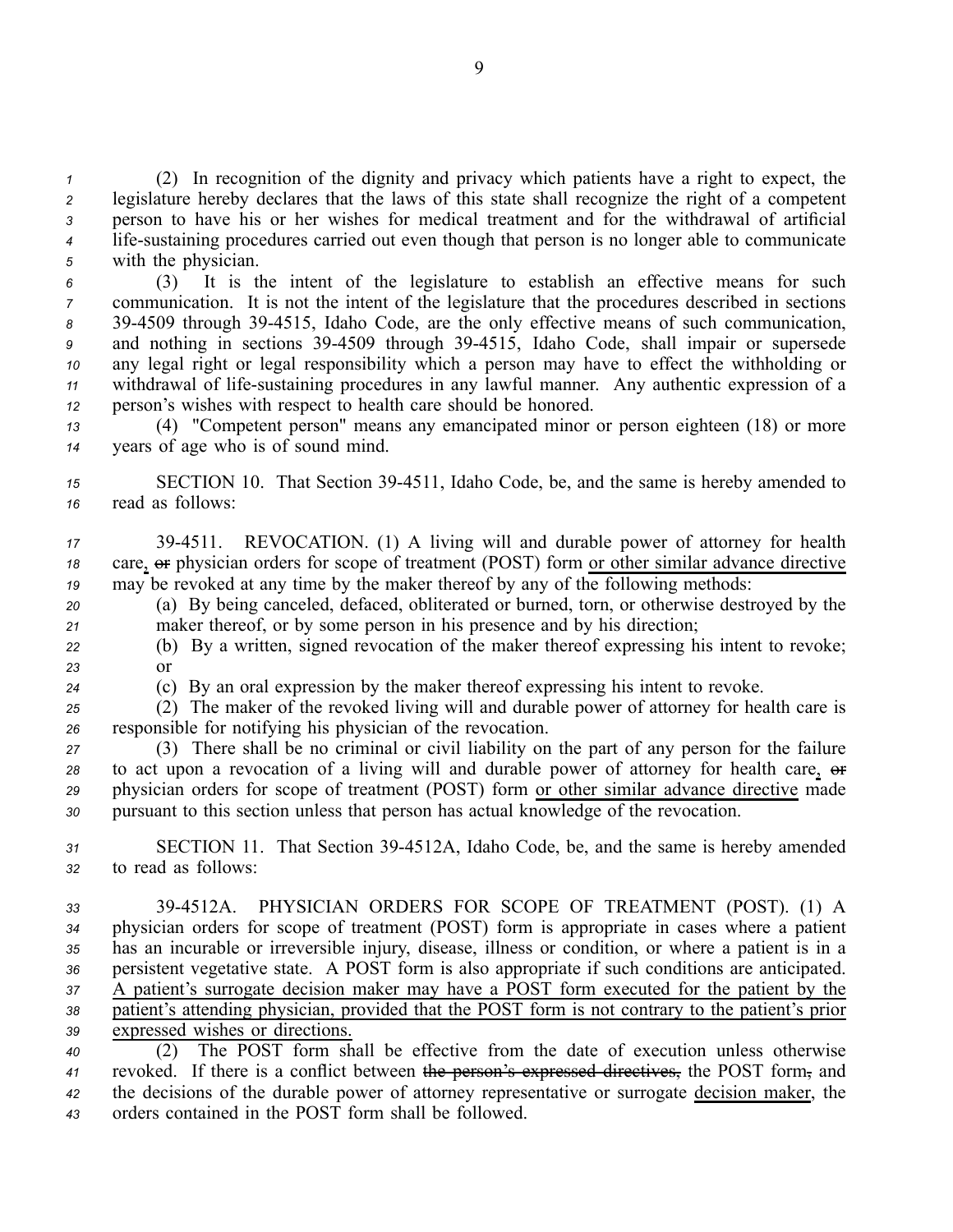(2) In recognition of the dignity and privacy which patients have <sup>a</sup> right to expect, the legislature hereby declares that the laws of this state shall recognize the right of <sup>a</sup> competent person to have his or her wishes for medical treatment and for the withdrawal of artificial lifesustaining procedures carried out even though that person is no longer able to communicate with the physician.

 (3) It is the intent of the legislature to establish an effective means for such communication. It is not the intent of the legislature that the procedures described in sections 394509 through 394515, Idaho Code, are the only effective means of such communication, and nothing in sections 394509 through 394515, Idaho Code, shall impair or supersede any legal right or legal responsibility which <sup>a</sup> person may have to effect the withholding or withdrawal of lifesustaining procedures in any lawful manner. Any authentic expression of <sup>a</sup> person's wishes with respec<sup>t</sup> to health care should be honored.

*<sup>13</sup>* (4) "Competent person" means any emancipated minor or person eighteen (18) or more *<sup>14</sup>* years of age who is of sound mind.

*<sup>15</sup>* SECTION 10. That Section 394511, Idaho Code, be, and the same is hereby amended to *<sup>16</sup>* read as follows:

*<sup>17</sup>* 394511. REVOCATION. (1) A living will and durable power of attorney for health 18 care,  $\Theta$  physician orders for scope of treatment (POST) form or other similar advance directive *<sup>19</sup>* may be revoked at any time by the maker thereof by any of the following methods:

*<sup>20</sup>* (a) By being canceled, defaced, obliterated or burned, torn, or otherwise destroyed by the *<sup>21</sup>* maker thereof, or by some person in his presence and by his direction;

*<sup>22</sup>* (b) By <sup>a</sup> written, signed revocation of the maker thereof expressing his intent to revoke; *23* or

*<sup>24</sup>* (c) By an oral expression by the maker thereof expressing his intent to revoke.

*<sup>25</sup>* (2) The maker of the revoked living will and durable power of attorney for health care is *<sup>26</sup>* responsible for notifying his physician of the revocation.

 (3) There shall be no criminal or civil liability on the par<sup>t</sup> of any person for the failure 28 to act upon a revocation of a living will and durable power of attorney for health care,  $\Theta$ **F**  physician orders for scope of treatment (POST) form or other similar advance directive made pursuan<sup>t</sup> to this section unless that person has actual knowledge of the revocation.

*<sup>31</sup>* SECTION 11. That Section 394512A, Idaho Code, be, and the same is hereby amended *<sup>32</sup>* to read as follows:

 394512A. PHYSICIAN ORDERS FOR SCOPE OF TREATMENT (POST). (1) A physician orders for scope of treatment (POST) form is appropriate in cases where <sup>a</sup> patient has an incurable or irreversible injury, disease, illness or condition, or where <sup>a</sup> patient is in <sup>a</sup> persistent vegetative state. A POST form is also appropriate if such conditions are anticipated. A patient's surrogate decision maker may have <sup>a</sup> POST form executed for the patient by the patient's attending physician, provided that the POST form is not contrary to the patient's prior expressed wishes or directions.

 (2) The POST form shall be effective from the date of execution unless otherwise revoked. If there is <sup>a</sup> conflict between the person's expressed directives, the POST form, and the decisions of the durable power of attorney representative or surrogate decision maker, the orders contained in the POST form shall be followed.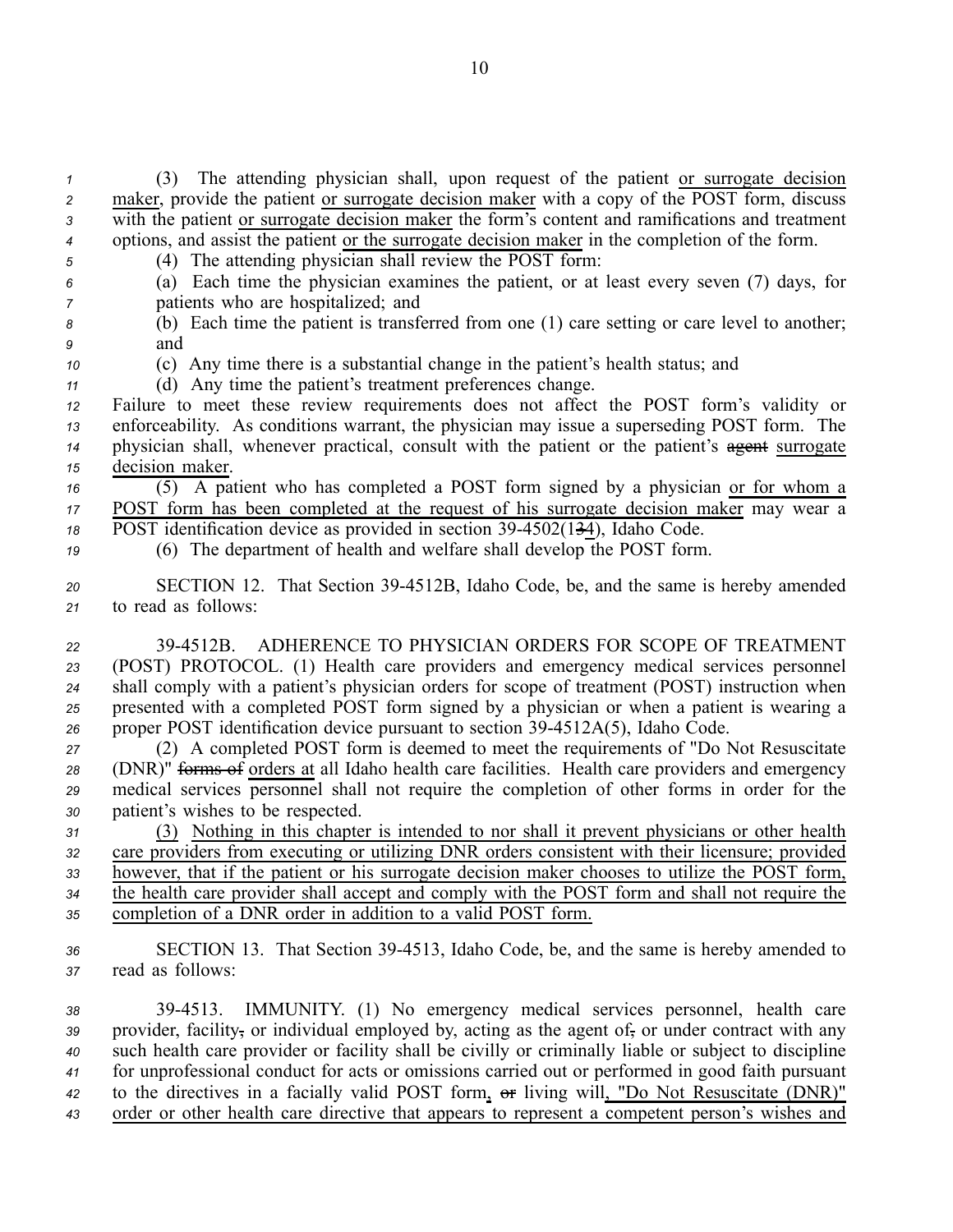(3) The attending physician shall, upon reques<sup>t</sup> of the patient or surrogate decision 2 maker, provide the patient or surrogate decision maker with a copy of the POST form, discuss with the patient or surrogate decision maker the form's content and ramifications and treatment options, and assist the patient or the surrogate decision maker in the completion of the form. (4) The attending physician shall review the POST form:

- 
- *<sup>6</sup>* (a) Each time the physician examines the patient, or at least every seven (7) days, for *<sup>7</sup>* patients who are hospitalized; and
- *<sup>8</sup>* (b) Each time the patient is transferred from one (1) care setting or care level to another; *<sup>9</sup>* and
- *<sup>10</sup>* (c) Any time there is <sup>a</sup> substantial change in the patient's health status; and
- *<sup>11</sup>* (d) Any time the patient's treatment preferences change.

 Failure to meet these review requirements does not affect the POST form's validity or enforceability. As conditions warrant, the physician may issue <sup>a</sup> superseding POST form. The 14 physician shall, whenever practical, consult with the patient or the patient's agent surrogate decision maker.

*<sup>16</sup>* (5) A patient who has completed <sup>a</sup> POST form signed by <sup>a</sup> physician or for whom <sup>a</sup> *<sup>17</sup>* POST form has been completed at the reques<sup>t</sup> of his surrogate decision maker may wear <sup>a</sup> 18 POST identification device as provided in section 39-4502(134), Idaho Code.

*<sup>19</sup>* (6) The department of health and welfare shall develop the POST form.

- *<sup>20</sup>* SECTION 12. That Section 394512B, Idaho Code, be, and the same is hereby amended *<sup>21</sup>* to read as follows:
- *<sup>22</sup>* 394512B. ADHERENCE TO PHYSICIAN ORDERS FOR SCOPE OF TREATMENT *<sup>23</sup>* (POST) PROTOCOL. (1) Health care providers and emergency medical services personnel *<sup>24</sup>* shall comply with <sup>a</sup> patient's physician orders for scope of treatment (POST) instruction when *<sup>25</sup>* presented with <sup>a</sup> completed POST form signed by <sup>a</sup> physician or when <sup>a</sup> patient is wearing <sup>a</sup> *<sup>26</sup>* proper POST identification device pursuan<sup>t</sup> to section 394512A(5), Idaho Code.

 (2) A completed POST form is deemed to meet the requirements of "Do Not Resuscitate (DNR)" forms of orders at all Idaho health care facilities. Health care providers and emergency medical services personnel shall not require the completion of other forms in order for the patient's wishes to be respected.

 (3) Nothing in this chapter is intended to nor shall it preven<sup>t</sup> physicians or other health care providers from executing or utilizing DNR orders consistent with their licensure; provided however, that if the patient or his surrogate decision maker chooses to utilize the POST form, the health care provider shall accep<sup>t</sup> and comply with the POST form and shall not require the completion of <sup>a</sup> DNR order in addition to <sup>a</sup> valid POST form.

*<sup>36</sup>* SECTION 13. That Section 394513, Idaho Code, be, and the same is hereby amended to *<sup>37</sup>* read as follows:

 394513. IMMUNITY. (1) No emergency medical services personnel, health care provider, facility, or individual employed by, acting as the agen<sup>t</sup> of, or under contract with any such health care provider or facility shall be civilly or criminally liable or subject to discipline for unprofessional conduct for acts or omissions carried out or performed in good faith pursuan<sup>t</sup> 42 to the directives in a facially valid POST form, or living will, "Do Not Resuscitate (DNR)" order or other health care directive that appears to represen<sup>t</sup> <sup>a</sup> competent person's wishes and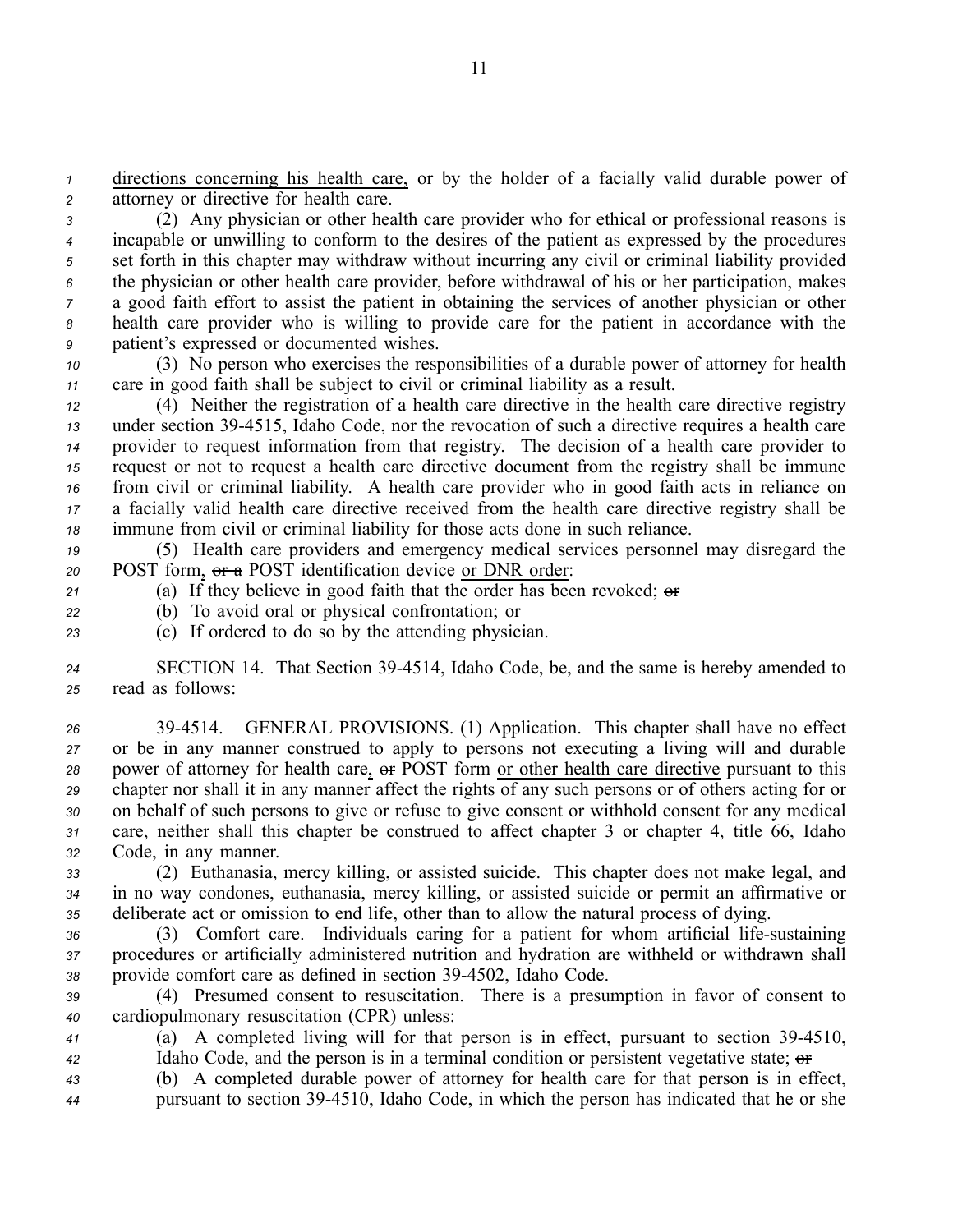*<sup>1</sup>* directions concerning his health care, or by the holder of <sup>a</sup> facially valid durable power of *<sup>2</sup>* attorney or directive for health care.

 (2) Any physician or other health care provider who for ethical or professional reasons is incapable or unwilling to conform to the desires of the patient as expressed by the procedures set forth in this chapter may withdraw without incurring any civil or criminal liability provided the physician or other health care provider, before withdrawal of his or her participation, makes <sup>a</sup> good faith effort to assist the patient in obtaining the services of another physician or other health care provider who is willing to provide care for the patient in accordance with the patient's expressed or documented wishes.

*<sup>10</sup>* (3) No person who exercises the responsibilities of <sup>a</sup> durable power of attorney for health *<sup>11</sup>* care in good faith shall be subject to civil or criminal liability as <sup>a</sup> result.

 (4) Neither the registration of <sup>a</sup> health care directive in the health care directive registry under section 394515, Idaho Code, nor the revocation of such <sup>a</sup> directive requires <sup>a</sup> health care provider to reques<sup>t</sup> information from that registry. The decision of <sup>a</sup> health care provider to reques<sup>t</sup> or not to reques<sup>t</sup> <sup>a</sup> health care directive document from the registry shall be immune from civil or criminal liability. A health care provider who in good faith acts in reliance on <sup>a</sup> facially valid health care directive received from the health care directive registry shall be immune from civil or criminal liability for those acts done in such reliance.

*<sup>19</sup>* (5) Health care providers and emergency medical services personnel may disregard the *<sup>20</sup>* POST form, or <sup>a</sup> POST identification device or DNR order:

*<sup>21</sup>* (a) If they believe in good faith that the order has been revoked; or

*<sup>22</sup>* (b) To avoid oral or physical confrontation; or

*<sup>23</sup>* (c) If ordered to do so by the attending physician.

*<sup>24</sup>* SECTION 14. That Section 394514, Idaho Code, be, and the same is hereby amended to *<sup>25</sup>* read as follows:

 394514. GENERAL PROVISIONS. (1) Application. This chapter shall have no effect or be in any manner construed to apply to persons not executing <sup>a</sup> living will and durable 28 power of attorney for health care,  $\Theta$  POST form or other health care directive pursuant to this chapter nor shall it in any manner affect the rights of any such persons or of others acting for or on behalf of such persons to give or refuse to give consent or withhold consent for any medical care, neither shall this chapter be construed to affect chapter 3 or chapter 4, title 66, Idaho Code, in any manner.

*<sup>33</sup>* (2) Euthanasia, mercy killing, or assisted suicide. This chapter does not make legal, and *<sup>34</sup>* in no way condones, euthanasia, mercy killing, or assisted suicide or permit an affirmative or *<sup>35</sup>* deliberate act or omission to end life, other than to allow the natural process of dying.

*<sup>36</sup>* (3) Comfort care. Individuals caring for <sup>a</sup> patient for whom artificial lifesustaining *<sup>37</sup>* procedures or artificially administered nutrition and hydration are withheld or withdrawn shall *<sup>38</sup>* provide comfort care as defined in section 394502, Idaho Code.

*<sup>39</sup>* (4) Presumed consent to resuscitation. There is <sup>a</sup> presumption in favor of consent to *<sup>40</sup>* cardiopulmonary resuscitation (CPR) unless:

*<sup>41</sup>* (a) A completed living will for that person is in effect, pursuan<sup>t</sup> to section 394510, *42* Idaho Code, and the person is in a terminal condition or persistent vegetative state;  $\theta$ 

*<sup>43</sup>* (b) A completed durable power of attorney for health care for that person is in effect, *<sup>44</sup>* pursuan<sup>t</sup> to section 394510, Idaho Code, in which the person has indicated that he or she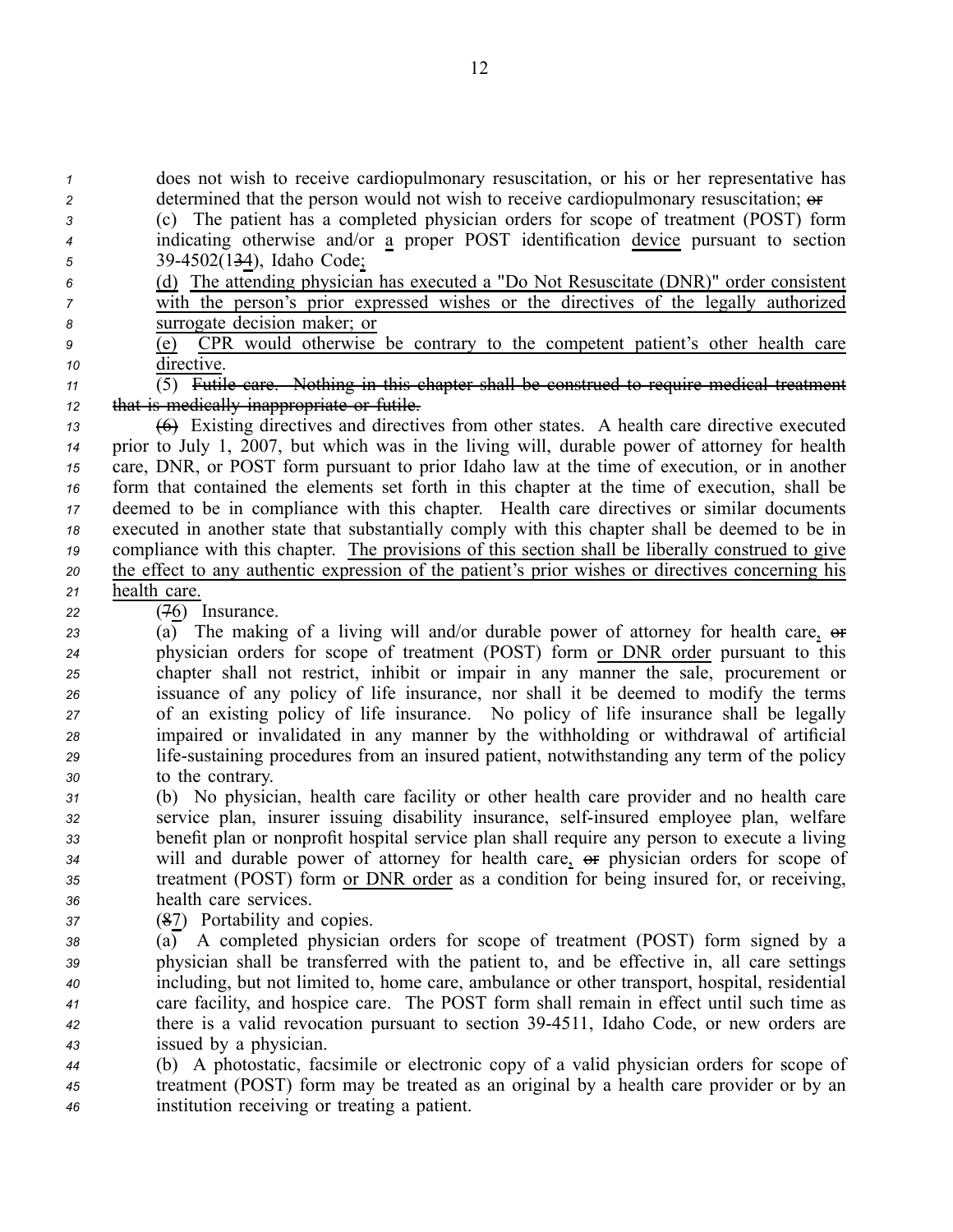*<sup>1</sup>* does not wish to receive cardiopulmonary resuscitation, or his or her representative has 2 determined that the person would not wish to receive cardiopulmonary resuscitation;  $\theta$ 

- *<sup>3</sup>* (c) The patient has <sup>a</sup> completed physician orders for scope of treatment (POST) form *<sup>4</sup>* indicating otherwise and/or <sup>a</sup> proper POST identification device pursuan<sup>t</sup> to section *<sup>5</sup>* 394502(134), Idaho Code;
- *<sup>6</sup>* (d) The attending physician has executed <sup>a</sup> "Do Not Resuscitate (DNR)" order consistent *<sup>7</sup>* with the person's prior expressed wishes or the directives of the legally authorized *<sup>8</sup>* surrogate decision maker; or
- *<sup>9</sup>* (e) CPR would otherwise be contrary to the competent patient's other health care *<sup>10</sup>* directive.

*<sup>11</sup>* (5) Futile care. Nothing in this chapter shall be construed to require medical treatment *<sup>12</sup>* that is medically inappropriate or futile.

- *<sup>13</sup>* (6) Existing directives and directives from other states. A health care directive executed *<sup>14</sup>* prior to July 1, 2007, but which was in the living will, durable power of attorney for health *<sup>15</sup>* care, DNR, or POST form pursuan<sup>t</sup> to prior Idaho law at the time of execution, or in another *<sup>16</sup>* form that contained the elements set forth in this chapter at the time of execution, shall be *<sup>17</sup>* deemed to be in compliance with this chapter. Health care directives or similar documents *<sup>18</sup>* executed in another state that substantially comply with this chapter shall be deemed to be in *<sup>19</sup>* compliance with this chapter. The provisions of this section shall be liberally construed to give *<sup>20</sup>* the effect to any authentic expression of the patient's prior wishes or directives concerning his *<sup>21</sup>* health care.
- *<sup>22</sup>* (76) Insurance.

23 (a) The making of a living will and/or durable power of attorney for health care,  $\theta$ **F**  physician orders for scope of treatment (POST) form or DNR order pursuan<sup>t</sup> to this chapter shall not restrict, inhibit or impair in any manner the sale, procuremen<sup>t</sup> or issuance of any policy of life insurance, nor shall it be deemed to modify the terms of an existing policy of life insurance. No policy of life insurance shall be legally impaired or invalidated in any manner by the withholding or withdrawal of artificial lifesustaining procedures from an insured patient, notwithstanding any term of the policy to the contrary.

- *<sup>31</sup>* (b) No physician, health care facility or other health care provider and no health care *<sup>32</sup>* service plan, insurer issuing disability insurance, selfinsured employee plan, welfare *<sup>33</sup>* benefit plan or nonprofit hospital service plan shall require any person to execute <sup>a</sup> living *34* will and durable power of attorney for health care,  $\theta$  physician orders for scope of *<sup>35</sup>* treatment (POST) form or DNR order as <sup>a</sup> condition for being insured for, or receiving, *<sup>36</sup>* health care services.
- *<sup>37</sup>* (87) Portability and copies.
- *<sup>38</sup>* (a) A completed physician orders for scope of treatment (POST) form signed by <sup>a</sup> *<sup>39</sup>* physician shall be transferred with the patient to, and be effective in, all care settings *<sup>40</sup>* including, but not limited to, home care, ambulance or other transport, hospital, residential *<sup>41</sup>* care facility, and hospice care. The POST form shall remain in effect until such time as *<sup>42</sup>* there is <sup>a</sup> valid revocation pursuan<sup>t</sup> to section 394511, Idaho Code, or new orders are *<sup>43</sup>* issued by <sup>a</sup> physician.
- *<sup>44</sup>* (b) A photostatic, facsimile or electronic copy of <sup>a</sup> valid physician orders for scope of *<sup>45</sup>* treatment (POST) form may be treated as an original by <sup>a</sup> health care provider or by an *<sup>46</sup>* institution receiving or treating <sup>a</sup> patient.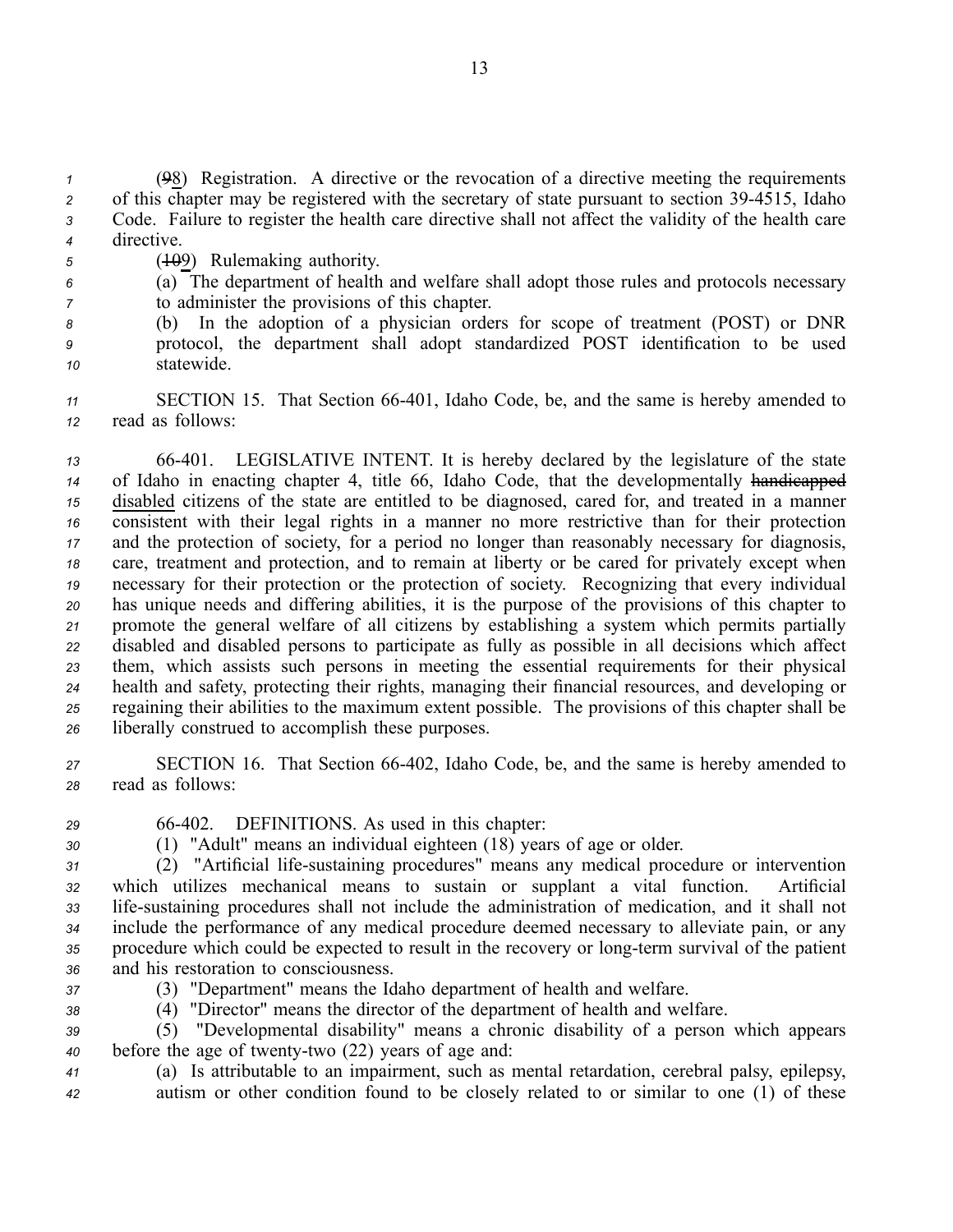(98) Registration. A directive or the revocation of <sup>a</sup> directive meeting the requirements 2 of this chapter may be registered with the secretary of state pursuant to section 39-4515, Idaho Code. Failure to register the health care directive shall not affect the validity of the health care directive.

- 5 (<del>10</del>9) Rulemaking authority.
- *<sup>6</sup>* (a) The department of health and welfare shall adopt those rules and protocols necessary *<sup>7</sup>* to administer the provisions of this chapter.
- *<sup>8</sup>* (b) In the adoption of <sup>a</sup> physician orders for scope of treatment (POST) or DNR *<sup>9</sup>* protocol, the department shall adopt standardized POST identification to be used *<sup>10</sup>* statewide.
- 11 **SECTION 15.** That Section 66-401, Idaho Code, be, and the same is hereby amended to *<sup>12</sup>* read as follows:

 66401. LEGISLATIVE INTENT. It is hereby declared by the legislature of the state of Idaho in enacting chapter 4, title 66, Idaho Code, that the developmentally handicapped disabled citizens of the state are entitled to be diagnosed, cared for, and treated in <sup>a</sup> manner consistent with their legal rights in <sup>a</sup> manner no more restrictive than for their protection and the protection of society, for <sup>a</sup> period no longer than reasonably necessary for diagnosis, care, treatment and protection, and to remain at liberty or be cared for privately excep<sup>t</sup> when necessary for their protection or the protection of society. Recognizing that every individual has unique needs and differing abilities, it is the purpose of the provisions of this chapter to promote the general welfare of all citizens by establishing <sup>a</sup> system which permits partially disabled and disabled persons to participate as fully as possible in all decisions which affect them, which assists such persons in meeting the essential requirements for their physical health and safety, protecting their rights, managing their financial resources, and developing or regaining their abilities to the maximum extent possible. The provisions of this chapter shall be liberally construed to accomplish these purposes.

*<sup>27</sup>* SECTION 16. That Section 66402, Idaho Code, be, and the same is hereby amended to *<sup>28</sup>* read as follows:

- -
- 

*<sup>29</sup>* 66402. DEFINITIONS. As used in this chapter:

*<sup>30</sup>* (1) "Adult" means an individual eighteen (18) years of age or older.

 (2) "Artificial lifesustaining procedures" means any medical procedure or intervention which utilizes mechanical means to sustain or supplant <sup>a</sup> vital function. Artificial lifesustaining procedures shall not include the administration of medication, and it shall not include the performance of any medical procedure deemed necessary to alleviate pain, or any 35 procedure which could be expected to result in the recovery or long-term survival of the patient and his restoration to consciousness.

- 
- *<sup>37</sup>* (3) "Department" means the Idaho department of health and welfare.
- *<sup>38</sup>* (4) "Director" means the director of the department of health and welfare.

*<sup>39</sup>* (5) "Developmental disability" means <sup>a</sup> chronic disability of <sup>a</sup> person which appears *40* before the age of twenty-two (22) years of age and:

*<sup>41</sup>* (a) Is attributable to an impairment, such as mental retardation, cerebral palsy, epilepsy, *<sup>42</sup>* autism or other condition found to be closely related to or similar to one (1) of these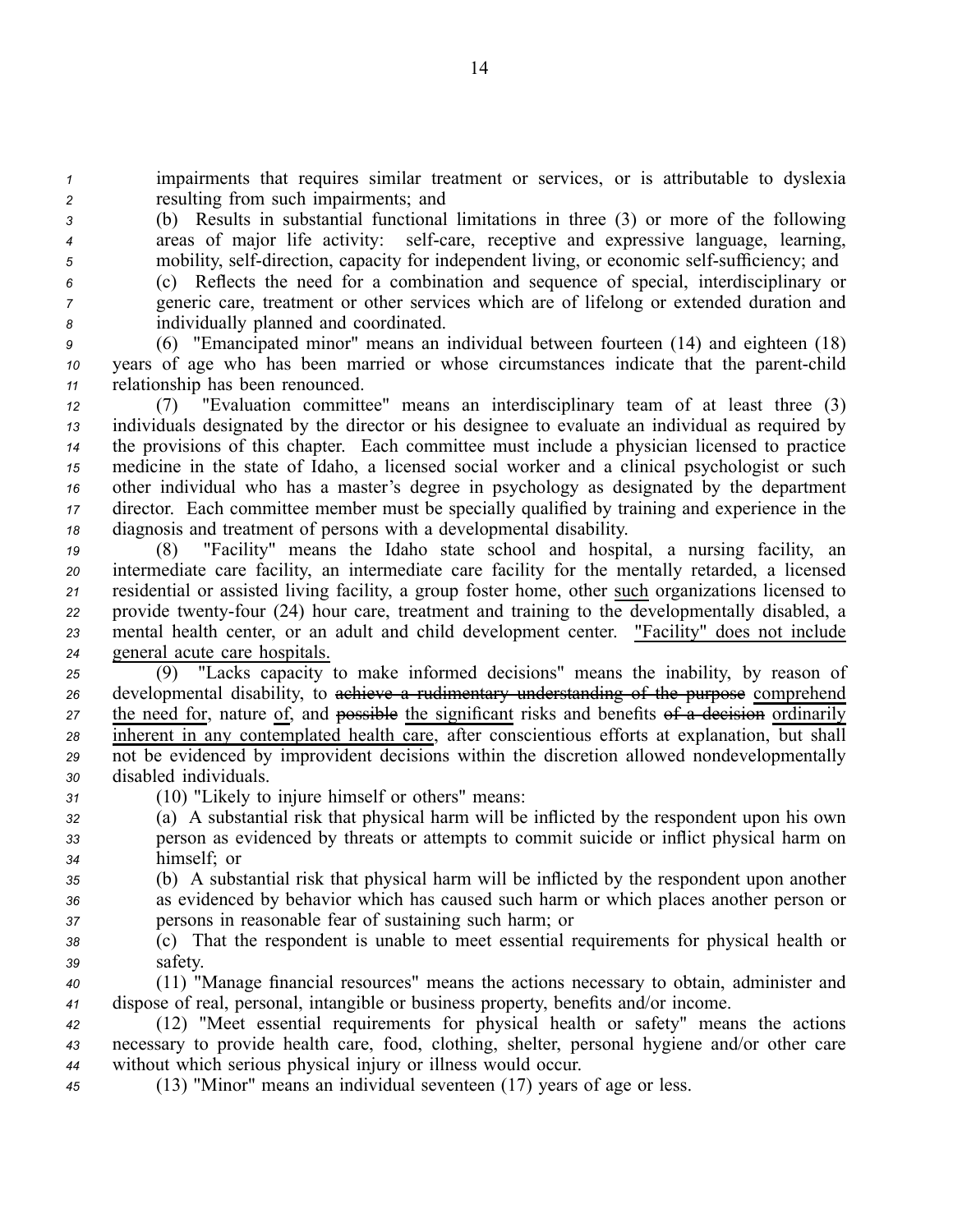*<sup>1</sup>* impairments that requires similar treatment or services, or is attributable to dyslexia *<sup>2</sup>* resulting from such impairments; and

*<sup>3</sup>* (b) Results in substantial functional limitations in three (3) or more of the following *4* areas of major life activity: self-care, receptive and expressive language, learning,  $5$  mobility, self-direction, capacity for independent living, or economic self-sufficiency; and

*<sup>6</sup>* (c) Reflects the need for <sup>a</sup> combination and sequence of special, interdisciplinary or *<sup>7</sup>* generic care, treatment or other services which are of lifelong or extended duration and *<sup>8</sup>* individually planned and coordinated.

*<sup>9</sup>* (6) "Emancipated minor" means an individual between fourteen (14) and eighteen (18) *10* years of age who has been married or whose circumstances indicate that the parent-child *<sup>11</sup>* relationship has been renounced.

 (7) "Evaluation committee" means an interdisciplinary team of at least three (3) individuals designated by the director or his designee to evaluate an individual as required by the provisions of this chapter. Each committee must include <sup>a</sup> physician licensed to practice medicine in the state of Idaho, <sup>a</sup> licensed social worker and <sup>a</sup> clinical psychologist or such other individual who has <sup>a</sup> master's degree in psychology as designated by the department director. Each committee member must be specially qualified by training and experience in the diagnosis and treatment of persons with <sup>a</sup> developmental disability.

 (8) "Facility" means the Idaho state school and hospital, <sup>a</sup> nursing facility, an intermediate care facility, an intermediate care facility for the mentally retarded, <sup>a</sup> licensed residential or assisted living facility, <sup>a</sup> group foster home, other such organizations licensed to 22 provide twenty-four (24) hour care, treatment and training to the developmentally disabled, a mental health center, or an adult and child development center. "Facility" does not include general acute care hospitals.

 (9) "Lacks capacity to make informed decisions" means the inability, by reason of developmental disability, to achieve <sup>a</sup> rudimentary understanding of the purpose comprehend 27 the need for, nature of, and  $\frac{1}{2}$  possible the significant risks and benefits  $\frac{1}{2}$  a decision ordinarily inherent in any contemplated health care, after conscientious efforts at explanation, but shall not be evidenced by improvident decisions within the discretion allowed nondevelopmentally disabled individuals.

*<sup>31</sup>* (10) "Likely to injure himself or others" means:

*<sup>32</sup>* (a) A substantial risk that physical harm will be inflicted by the respondent upon his own *<sup>33</sup>* person as evidenced by threats or attempts to commit suicide or inflict physical harm on *<sup>34</sup>* himself; or

*<sup>35</sup>* (b) A substantial risk that physical harm will be inflicted by the respondent upon another *<sup>36</sup>* as evidenced by behavior which has caused such harm or which places another person or *<sup>37</sup>* persons in reasonable fear of sustaining such harm; or

*<sup>38</sup>* (c) That the respondent is unable to meet essential requirements for physical health or *<sup>39</sup>* safety.

*<sup>40</sup>* (11) "Manage financial resources" means the actions necessary to obtain, administer and *<sup>41</sup>* dispose of real, personal, intangible or business property, benefits and/or income.

*<sup>42</sup>* (12) "Meet essential requirements for physical health or safety" means the actions *<sup>43</sup>* necessary to provide health care, food, clothing, shelter, personal hygiene and/or other care *<sup>44</sup>* without which serious physical injury or illness would occur.

*<sup>45</sup>* (13) "Minor" means an individual seventeen (17) years of age or less.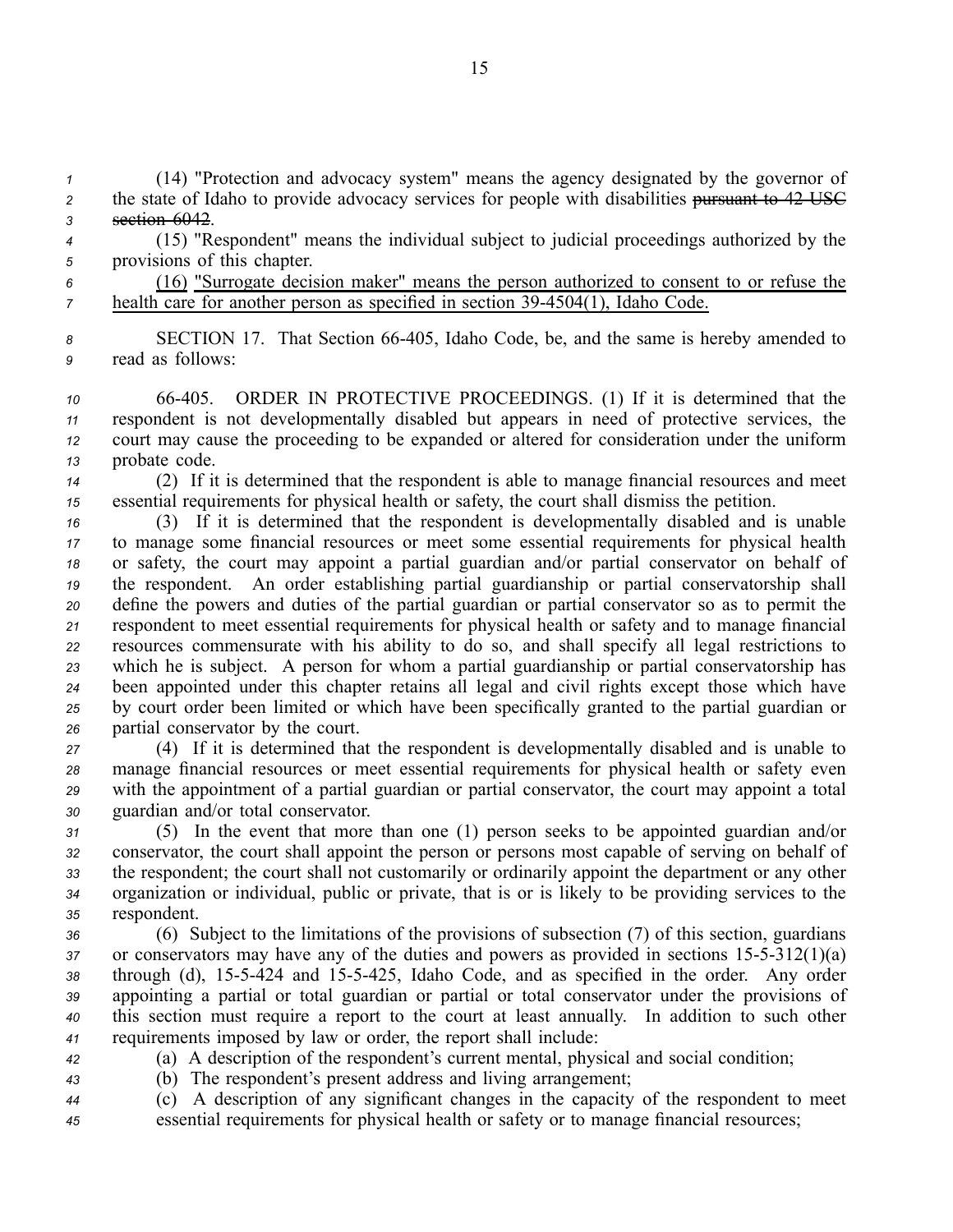*<sup>1</sup>* (14) "Protection and advocacy system" means the agency designated by the governor of 2 the state of Idaho to provide advocacy services for people with disabilities pursuant to 42 USC *<sup>3</sup>* section 6042.

- *<sup>4</sup>* (15) "Respondent" means the individual subject to judicial proceedings authorized by the *<sup>5</sup>* provisions of this chapter.
- *<sup>6</sup>* (16) "Surrogate decision maker" means the person authorized to consent to or refuse the *7* health care for another person as specified in section 39-4504(1), Idaho Code.
- *<sup>8</sup>* SECTION 17. That Section 66405, Idaho Code, be, and the same is hereby amended to *<sup>9</sup>* read as follows:

 66405. ORDER IN PROTECTIVE PROCEEDINGS. (1) If it is determined that the respondent is not developmentally disabled but appears in need of protective services, the court may cause the proceeding to be expanded or altered for consideration under the uniform probate code.

*<sup>14</sup>* (2) If it is determined that the respondent is able to manage financial resources and meet *<sup>15</sup>* essential requirements for physical health or safety, the court shall dismiss the petition.

 (3) If it is determined that the respondent is developmentally disabled and is unable to manage some financial resources or meet some essential requirements for physical health or safety, the court may appoint <sup>a</sup> partial guardian and/or partial conservator on behalf of the respondent. An order establishing partial guardianship or partial conservatorship shall define the powers and duties of the partial guardian or partial conservator so as to permit the respondent to meet essential requirements for physical health or safety and to manage financial resources commensurate with his ability to do so, and shall specify all legal restrictions to which he is subject. A person for whom <sup>a</sup> partial guardianship or partial conservatorship has been appointed under this chapter retains all legal and civil rights excep<sup>t</sup> those which have by court order been limited or which have been specifically granted to the partial guardian or partial conservator by the court.

 (4) If it is determined that the respondent is developmentally disabled and is unable to manage financial resources or meet essential requirements for physical health or safety even with the appointment of <sup>a</sup> partial guardian or partial conservator, the court may appoint <sup>a</sup> total guardian and/or total conservator.

 (5) In the event that more than one (1) person seeks to be appointed guardian and/or conservator, the court shall appoint the person or persons most capable of serving on behalf of the respondent; the court shall not customarily or ordinarily appoint the department or any other organization or individual, public or private, that is or is likely to be providing services to the respondent.

 (6) Subject to the limitations of the provisions of subsection (7) of this section, guardians or conservators may have any of the duties and powers as provided in sections  $15-5-312(1)(a)$ 38 through (d), 15-5-424 and 15-5-425, Idaho Code, and as specified in the order. Any order appointing <sup>a</sup> partial or total guardian or partial or total conservator under the provisions of this section must require <sup>a</sup> repor<sup>t</sup> to the court at least annually. In addition to such other requirements imposed by law or order, the repor<sup>t</sup> shall include:

*<sup>42</sup>* (a) A description of the respondent's current mental, physical and social condition;

*<sup>43</sup>* (b) The respondent's presen<sup>t</sup> address and living arrangement;

*<sup>44</sup>* (c) A description of any significant changes in the capacity of the respondent to meet *<sup>45</sup>* essential requirements for physical health or safety or to manage financial resources;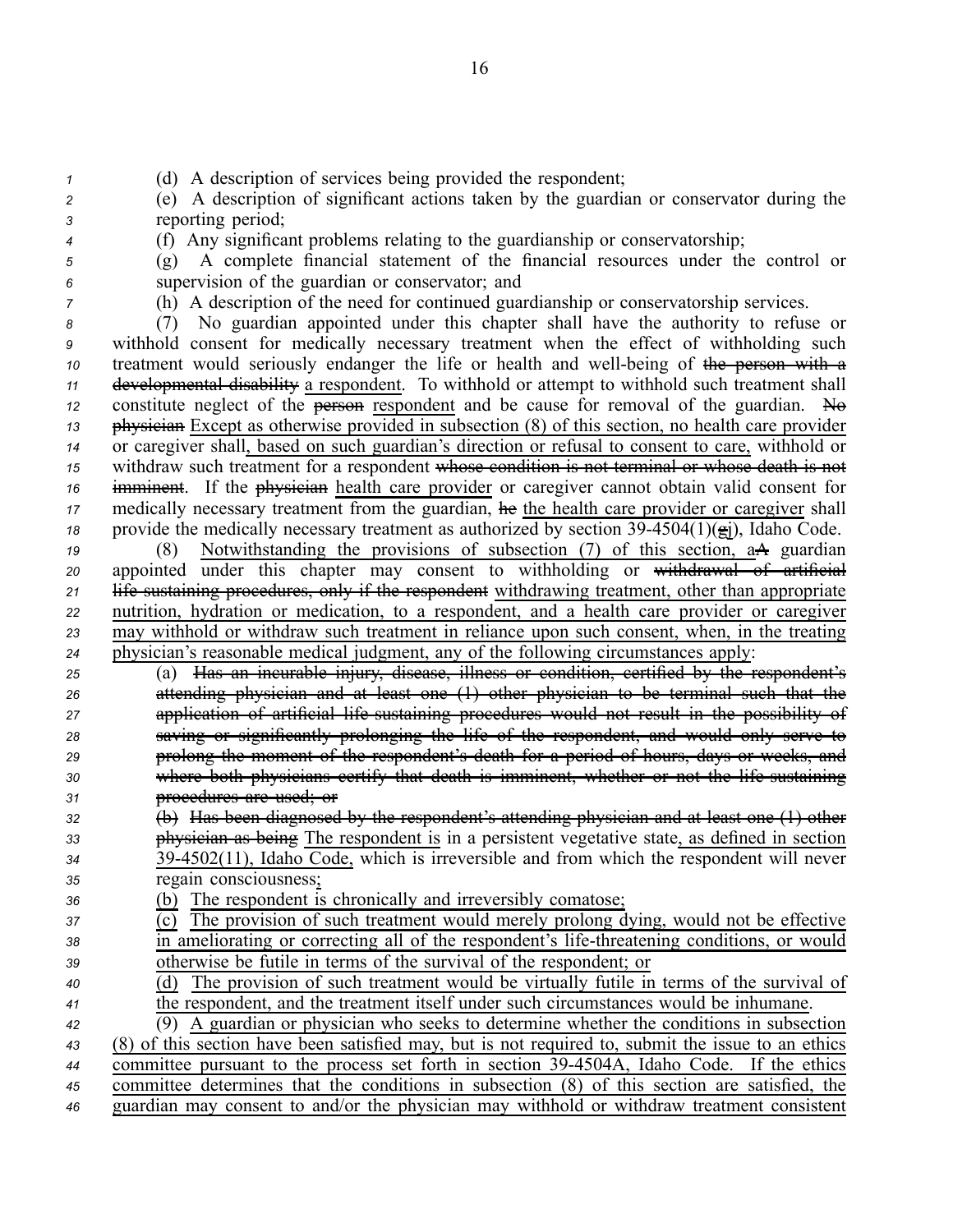*<sup>1</sup>* (d) A description of services being provided the respondent;

*<sup>2</sup>* (e) A description of significant actions taken by the guardian or conservator during the *<sup>3</sup>* reporting period;

*<sup>4</sup>* (f) Any significant problems relating to the guardianship or conservatorship;

*<sup>5</sup>* (g) A complete financial statement of the financial resources under the control or *<sup>6</sup>* supervision of the guardian or conservator; and

*<sup>7</sup>* (h) A description of the need for continued guardianship or conservatorship services.

 (7) No guardian appointed under this chapter shall have the authority to refuse or withhold consent for medically necessary treatment when the effect of withholding such treatment would seriously endanger the life or health and well-being of the person with a developmental disability <sup>a</sup> respondent. To withhold or attempt to withhold such treatment shall constitute neglect of the **person** respondent and be cause for removal of the guardian. No physician Except as otherwise provided in subsection (8) of this section, no health care provider or caregiver shall, based on such guardian's direction or refusal to consent to care, withhold or withdraw such treatment for <sup>a</sup> respondent whose condition is not terminal or whose death is not imminent. If the physician health care provider or caregiver cannot obtain valid consent for 17 medically necessary treatment from the guardian, he the health care provider or caregiver shall provide the medically necessary treatment as authorized by section  $39-4504(1)(g_i)$ , Idaho Code.

 (8) Notwithstanding the provisions of subsection (7) of this section, aA guardian appointed under this chapter may consent to withholding or withdrawal of artificial 21 life sustaining procedures, only if the respondent withdrawing treatment, other than appropriate nutrition, hydration or medication, to <sup>a</sup> respondent, and <sup>a</sup> health care provider or caregiver may withhold or withdraw such treatment in reliance upon such consent, when, in the treating physician's reasonable medical judgment, any of the following circumstances apply:

 (a) Has an incurable injury, disease, illness or condition, certified by the respondent's attending physician and at least one (1) other physician to be terminal such that the 27 application of artificial life sustaining procedures would not result in the possibility of saving or significantly prolonging the life of the respondent, and would only serve to prolong the moment of the respondent's death for <sup>a</sup> period of hours, days or weeks, and where both physicians certify that death is imminent, whether or not the life sustaining procedures are used; or

 (b) Has been diagnosed by the respondent's attending physician and at least one (1) other physician as being The respondent is in <sup>a</sup> persistent vegetative state, as defined in section 394502(11), Idaho Code, which is irreversible and from which the respondent will never regain consciousness;

*<sup>36</sup>* (b) The respondent is chronically and irreversibly comatose;

| 37 | (c) The provision of such treatment would merely prolong dying, would not be effective      |
|----|---------------------------------------------------------------------------------------------|
| 38 | in ameliorating or correcting all of the respondent's life-threatening conditions, or would |
| 39 | otherwise be futile in terms of the survival of the respondent; or                          |
|    |                                                                                             |

*<sup>40</sup>* (d) The provision of such treatment would be virtually futile in terms of the survival of *<sup>41</sup>* the respondent, and the treatment itself under such circumstances would be inhumane.

 (9) A guardian or physician who seeks to determine whether the conditions in subsection (8) of this section have been satisfied may, but is not required to, submit the issue to an ethics committee pursuan<sup>t</sup> to the process set forth in section 394504A, Idaho Code. If the ethics committee determines that the conditions in subsection (8) of this section are satisfied, the guardian may consent to and/or the physician may withhold or withdraw treatment consistent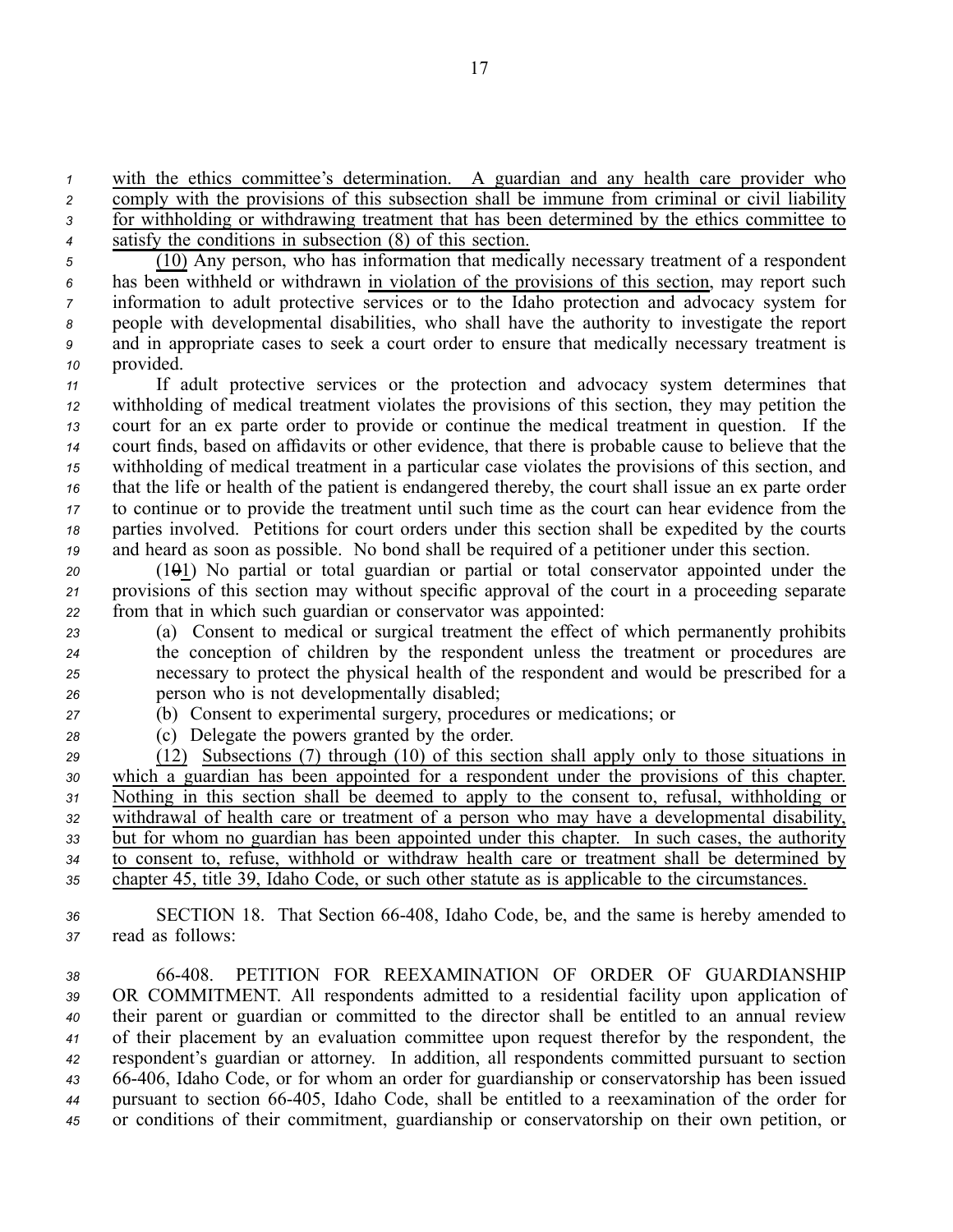*<sup>1</sup>* with the ethics committee's determination. A guardian and any health care provider who

2 comply with the provisions of this subsection shall be immune from criminal or civil liability *<sup>3</sup>* for withholding or withdrawing treatment that has been determined by the ethics committee to *<sup>4</sup>* satisfy the conditions in subsection (8) of this section.

 (10) Any person, who has information that medically necessary treatment of <sup>a</sup> respondent has been withheld or withdrawn in violation of the provisions of this section, may repor<sup>t</sup> such information to adult protective services or to the Idaho protection and advocacy system for people with developmental disabilities, who shall have the authority to investigate the repor<sup>t</sup> and in appropriate cases to seek <sup>a</sup> court order to ensure that medically necessary treatment is provided.

 If adult protective services or the protection and advocacy system determines that withholding of medical treatment violates the provisions of this section, they may petition the court for an ex parte order to provide or continue the medical treatment in question. If the court finds, based on affidavits or other evidence, that there is probable cause to believe that the withholding of medical treatment in <sup>a</sup> particular case violates the provisions of this section, and that the life or health of the patient is endangered thereby, the court shall issue an ex parte order to continue or to provide the treatment until such time as the court can hear evidence from the parties involved. Petitions for court orders under this section shall be expedited by the courts and heard as soon as possible. No bond shall be required of <sup>a</sup> petitioner under this section.

*<sup>20</sup>* (101) No partial or total guardian or partial or total conservator appointed under the *<sup>21</sup>* provisions of this section may without specific approval of the court in <sup>a</sup> proceeding separate *<sup>22</sup>* from that in which such guardian or conservator was appointed:

 (a) Consent to medical or surgical treatment the effect of which permanently prohibits the conception of children by the respondent unless the treatment or procedures are necessary to protect the physical health of the respondent and would be prescribed for <sup>a</sup> person who is not developmentally disabled;

- *<sup>27</sup>* (b) Consent to experimental surgery, procedures or medications; or
- 
- 

*<sup>28</sup>* (c) Delegate the powers granted by the order.

 (12) Subsections (7) through (10) of this section shall apply only to those situations in which <sup>a</sup> guardian has been appointed for <sup>a</sup> respondent under the provisions of this chapter. Nothing in this section shall be deemed to apply to the consent to, refusal, withholding or withdrawal of health care or treatment of <sup>a</sup> person who may have <sup>a</sup> developmental disability, but for whom no guardian has been appointed under this chapter. In such cases, the authority to consent to, refuse, withhold or withdraw health care or treatment shall be determined by chapter 45, title 39, Idaho Code, or such other statute as is applicable to the circumstances.

*<sup>36</sup>* SECTION 18. That Section 66408, Idaho Code, be, and the same is hereby amended to *<sup>37</sup>* read as follows:

 66408. PETITION FOR REEXAMINATION OF ORDER OF GUARDIANSHIP OR COMMITMENT. All respondents admitted to <sup>a</sup> residential facility upon application of their paren<sup>t</sup> or guardian or committed to the director shall be entitled to an annual review of their placement by an evaluation committee upon reques<sup>t</sup> therefor by the respondent, the respondent's guardian or attorney. In addition, all respondents committed pursuan<sup>t</sup> to section 66406, Idaho Code, or for whom an order for guardianship or conservatorship has been issued pursuan<sup>t</sup> to section 66405, Idaho Code, shall be entitled to <sup>a</sup> reexamination of the order for or conditions of their commitment, guardianship or conservatorship on their own petition, or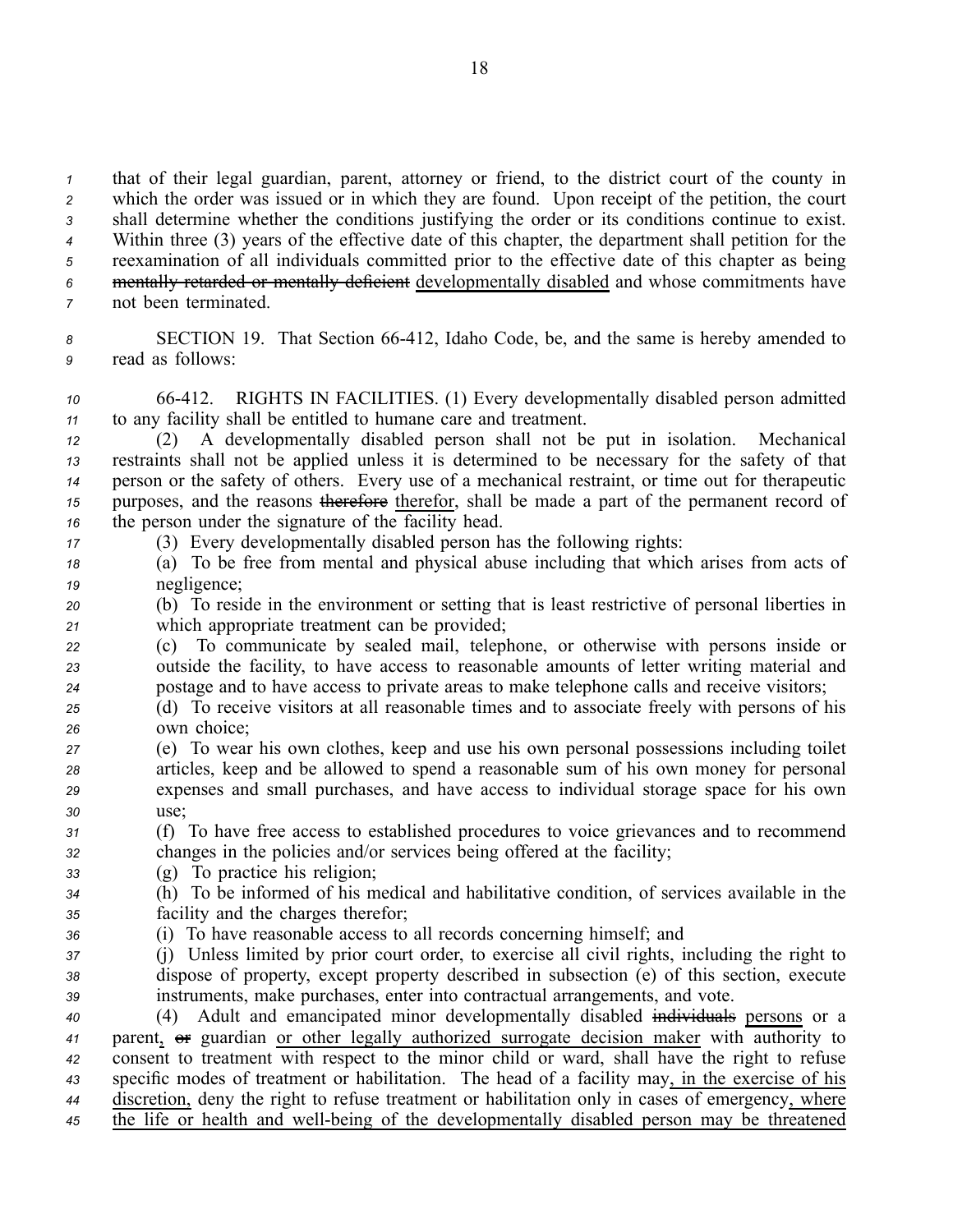that of their legal guardian, parent, attorney or friend, to the district court of the county in which the order was issued or in which they are found. Upon receipt of the petition, the court shall determine whether the conditions justifying the order or its conditions continue to exist. Within three (3) years of the effective date of this chapter, the department shall petition for the reexamination of all individuals committed prior to the effective date of this chapter as being mentally retarded or mentally deficient developmentally disabled and whose commitments have

- *<sup>7</sup>* not been terminated.
- 8 **SECTION 19.** That Section 66-412, Idaho Code, be, and the same is hereby amended to *<sup>9</sup>* read as follows:
- *<sup>10</sup>* 66412. RIGHTS IN FACILITIES. (1) Every developmentally disabled person admitted *<sup>11</sup>* to any facility shall be entitled to humane care and treatment.
- *<sup>12</sup>* (2) A developmentally disabled person shall not be pu<sup>t</sup> in isolation. Mechanical *<sup>13</sup>* restraints shall not be applied unless it is determined to be necessary for the safety of that *<sup>14</sup>* person or the safety of others. Every use of <sup>a</sup> mechanical restraint, or time out for therapeutic *<sup>15</sup>* purposes, and the reasons therefore therefor, shall be made <sup>a</sup> par<sup>t</sup> of the permanen<sup>t</sup> record of *<sup>16</sup>* the person under the signature of the facility head.
- 
- *<sup>17</sup>* (3) Every developmentally disabled person has the following rights:
- *<sup>18</sup>* (a) To be free from mental and physical abuse including that which arises from acts of *<sup>19</sup>* negligence;
- *<sup>20</sup>* (b) To reside in the environment or setting that is least restrictive of personal liberties in *<sup>21</sup>* which appropriate treatment can be provided;
- *<sup>22</sup>* (c) To communicate by sealed mail, telephone, or otherwise with persons inside or *<sup>23</sup>* outside the facility, to have access to reasonable amounts of letter writing material and *<sup>24</sup>* postage and to have access to private areas to make telephone calls and receive visitors;
- *<sup>25</sup>* (d) To receive visitors at all reasonable times and to associate freely with persons of his *<sup>26</sup>* own choice;
- *<sup>27</sup>* (e) To wear his own clothes, keep and use his own personal possessions including toilet *<sup>28</sup>* articles, keep and be allowed to spend <sup>a</sup> reasonable sum of his own money for personal *<sup>29</sup>* expenses and small purchases, and have access to individual storage space for his own *30* use;
- *<sup>31</sup>* (f) To have free access to established procedures to voice grievances and to recommend *<sup>32</sup>* changes in the policies and/or services being offered at the facility;
- *<sup>33</sup>* (g) To practice his religion;
- *<sup>34</sup>* (h) To be informed of his medical and habilitative condition, of services available in the *<sup>35</sup>* facility and the charges therefor;
- *<sup>36</sup>* (i) To have reasonable access to all records concerning himself; and
- *<sup>37</sup>* (j) Unless limited by prior court order, to exercise all civil rights, including the right to *<sup>38</sup>* dispose of property, excep<sup>t</sup> property described in subsection (e) of this section, execute *<sup>39</sup>* instruments, make purchases, enter into contractual arrangements, and vote.
- *<sup>40</sup>* (4) Adult and emancipated minor developmentally disabled individuals persons or <sup>a</sup> *<sup>41</sup>* parent, or guardian or other legally authorized surrogate decision maker with authority to *<sup>42</sup>* consent to treatment with respec<sup>t</sup> to the minor child or ward, shall have the right to refuse *<sup>43</sup>* specific modes of treatment or habilitation. The head of <sup>a</sup> facility may, in the exercise of his *<sup>44</sup>* discretion, deny the right to refuse treatment or habilitation only in cases of emergency, where <sup>45</sup> the life or health and well-being of the developmentally disabled person may be threatened